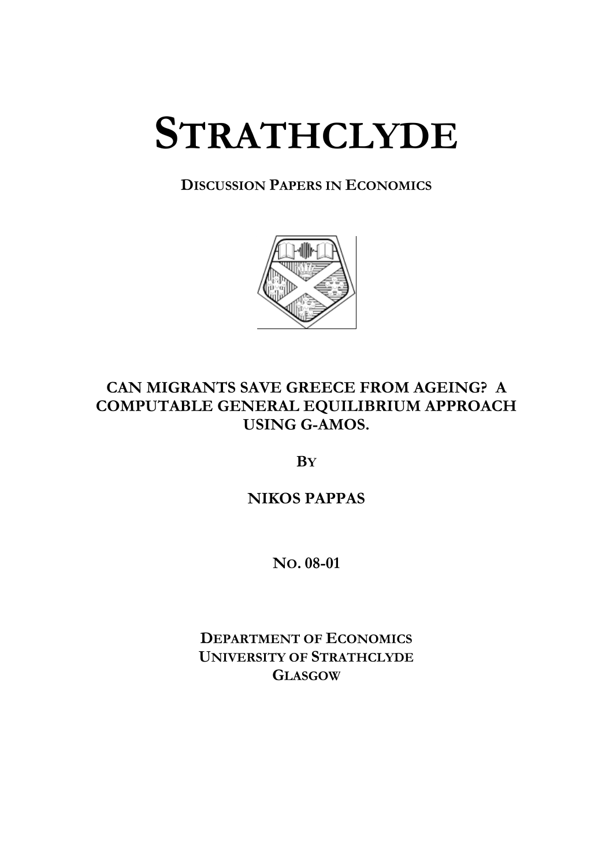# **STRATHCLYDE**

# **DISCUSSION PAPERS IN ECONOMICS**



# **CAN MIGRANTS SAVE GREECE FROM AGEING? A COMPUTABLE GENERAL EQUILIBRIUM APPROACH USING G-AMOS.**

**BY**

# **NIKOS PAPPAS**

**NO. 08-01** 

**DEPARTMENT OF ECONOMICS UNIVERSITY OF STRATHCLYDE GLASGOW**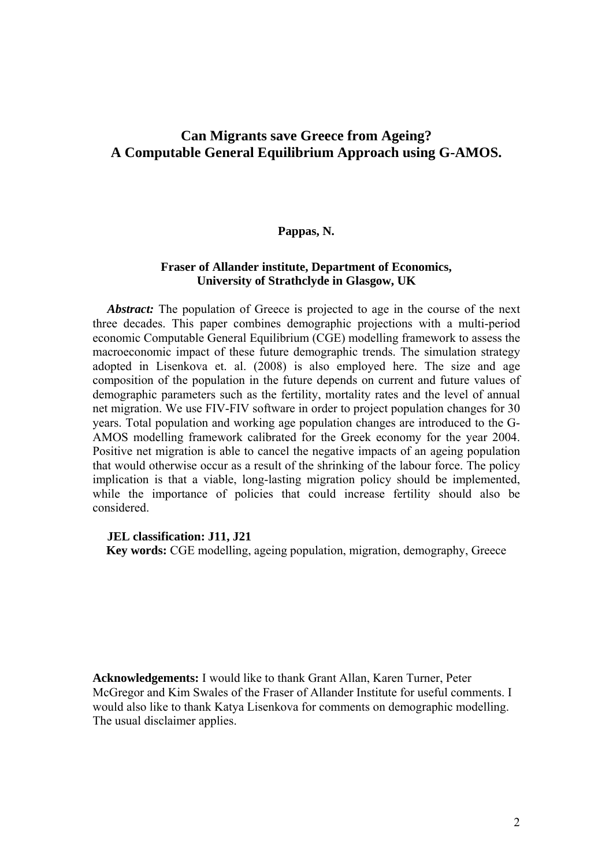# **Can Migrants save Greece from Ageing? A Computable General Equilibrium Approach using G-AMOS.**

#### **Pappas, N.**

#### **Fraser of Allander institute, Department of Economics, University of Strathclyde in Glasgow, UK**

*Abstract:* The population of Greece is projected to age in the course of the next three decades. This paper combines demographic projections with a multi-period economic Computable General Equilibrium (CGE) modelling framework to assess the macroeconomic impact of these future demographic trends. The simulation strategy adopted in Lisenkova et. al. (2008) is also employed here. The size and age composition of the population in the future depends on current and future values of demographic parameters such as the fertility, mortality rates and the level of annual net migration. We use FIV-FIV software in order to project population changes for 30 years. Total population and working age population changes are introduced to the G-AMOS modelling framework calibrated for the Greek economy for the year 2004. Positive net migration is able to cancel the negative impacts of an ageing population that would otherwise occur as a result of the shrinking of the labour force. The policy implication is that a viable, long-lasting migration policy should be implemented, while the importance of policies that could increase fertility should also be considered.

#### **JEL classification: J11, J21**

**Key words:** CGE modelling, ageing population, migration, demography, Greece

**Acknowledgements:** I would like to thank Grant Allan, Karen Turner, Peter McGregor and Kim Swales of the Fraser of Allander Institute for useful comments. I would also like to thank Katya Lisenkova for comments on demographic modelling. The usual disclaimer applies.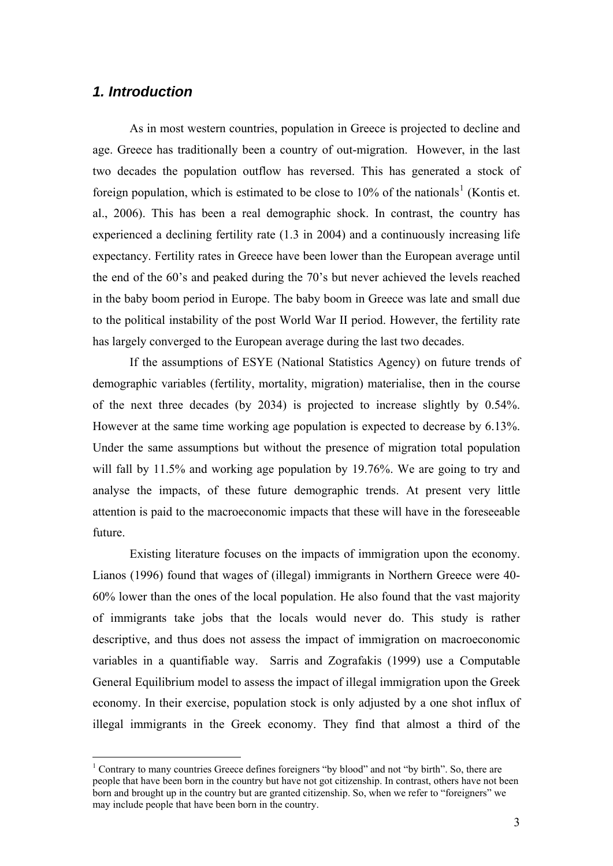## *1. Introduction*

As in most western countries, population in Greece is projected to decline and age. Greece has traditionally been a country of out-migration. However, in the last two decades the population outflow has reversed. This has generated a stock of foreign population, which is estimated to be close to  $10\%$  $10\%$  of the nationals<sup>1</sup> (Kontis et. al., 2006). This has been a real demographic shock. In contrast, the country has experienced a declining fertility rate (1.3 in 2004) and a continuously increasing life expectancy. Fertility rates in Greece have been lower than the European average until the end of the 60's and peaked during the 70's but never achieved the levels reached in the baby boom period in Europe. The baby boom in Greece was late and small due to the political instability of the post World War II period. However, the fertility rate has largely converged to the European average during the last two decades.

If the assumptions of ESYE (National Statistics Agency) on future trends of demographic variables (fertility, mortality, migration) materialise, then in the course of the next three decades (by 2034) is projected to increase slightly by 0.54%. However at the same time working age population is expected to decrease by 6.13%. Under the same assumptions but without the presence of migration total population will fall by 11.5% and working age population by 19.76%. We are going to try and analyse the impacts, of these future demographic trends. At present very little attention is paid to the macroeconomic impacts that these will have in the foreseeable future.

Existing literature focuses on the impacts of immigration upon the economy. Lianos (1996) found that wages of (illegal) immigrants in Northern Greece were 40- 60% lower than the ones of the local population. He also found that the vast majority of immigrants take jobs that the locals would never do. This study is rather descriptive, and thus does not assess the impact of immigration on macroeconomic variables in a quantifiable way. Sarris and Zografakis (1999) use a Computable General Equilibrium model to assess the impact of illegal immigration upon the Greek economy. In their exercise, population stock is only adjusted by a one shot influx of illegal immigrants in the Greek economy. They find that almost a third of the

<span id="page-2-0"></span><sup>&</sup>lt;sup>1</sup> Contrary to many countries Greece defines foreigners "by blood" and not "by birth". So, there are people that have been born in the country but have not got citizenship. In contrast, others have not been born and brought up in the country but are granted citizenship. So, when we refer to "foreigners" we may include people that have been born in the country.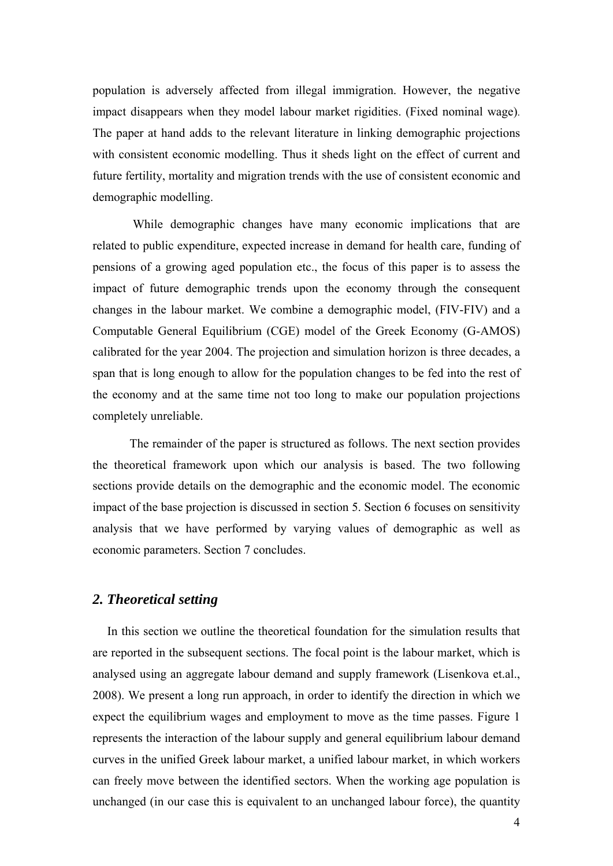population is adversely affected from illegal immigration. However, the negative impact disappears when they model labour market rigidities. (Fixed nominal wage). The paper at hand adds to the relevant literature in linking demographic projections with consistent economic modelling. Thus it sheds light on the effect of current and future fertility, mortality and migration trends with the use of consistent economic and demographic modelling.

 While demographic changes have many economic implications that are related to public expenditure, expected increase in demand for health care, funding of pensions of a growing aged population etc., the focus of this paper is to assess the impact of future demographic trends upon the economy through the consequent changes in the labour market. We combine a demographic model, (FIV-FIV) and a Computable General Equilibrium (CGE) model of the Greek Economy (G-AMOS) calibrated for the year 2004. The projection and simulation horizon is three decades, a span that is long enough to allow for the population changes to be fed into the rest of the economy and at the same time not too long to make our population projections completely unreliable.

The remainder of the paper is structured as follows. The next section provides the theoretical framework upon which our analysis is based. The two following sections provide details on the demographic and the economic model. The economic impact of the base projection is discussed in section 5. Section 6 focuses on sensitivity analysis that we have performed by varying values of demographic as well as economic parameters. Section 7 concludes.

#### *2. Theoretical setting*

In this section we outline the theoretical foundation for the simulation results that are reported in the subsequent sections. The focal point is the labour market, which is analysed using an aggregate labour demand and supply framework (Lisenkova et.al., 2008). We present a long run approach, in order to identify the direction in which we expect the equilibrium wages and employment to move as the time passes. Figure 1 represents the interaction of the labour supply and general equilibrium labour demand curves in the unified Greek labour market, a unified labour market, in which workers can freely move between the identified sectors. When the working age population is unchanged (in our case this is equivalent to an unchanged labour force), the quantity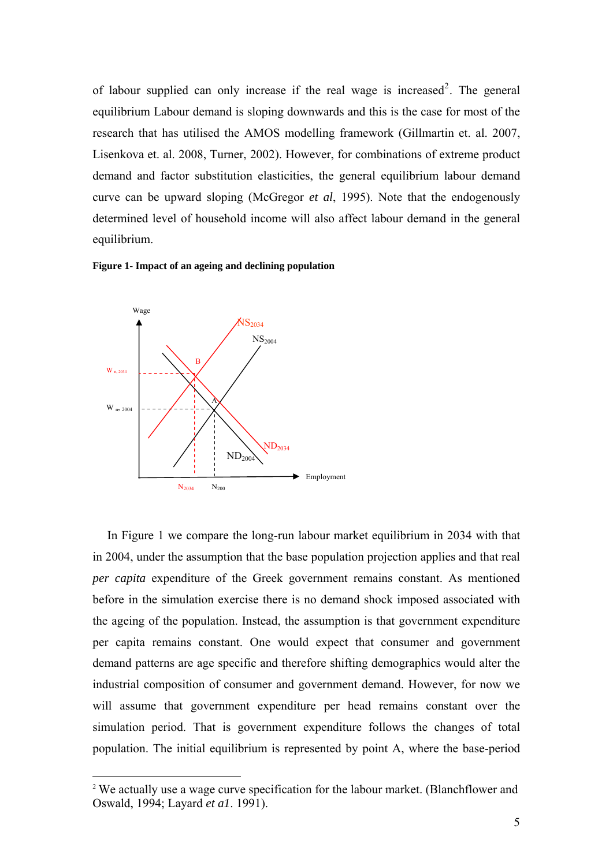of labour supplied can only increase if the real wage is increased<sup>[2](#page-4-0)</sup>. The general equilibrium Labour demand is sloping downwards and this is the case for most of the research that has utilised the AMOS modelling framework (Gillmartin et. al. 2007, Lisenkova et. al. 2008, Turner, 2002). However, for combinations of extreme product demand and factor substitution elasticities, the general equilibrium labour demand curve can be upward sloping (McGregor *et al*, 1995). Note that the endogenously determined level of household income will also affect labour demand in the general equilibrium.





<u>.</u>

In Figure 1 we compare the long-run labour market equilibrium in 2034 with that in 2004, under the assumption that the base population projection applies and that real *per capita* expenditure of the Greek government remains constant. As mentioned before in the simulation exercise there is no demand shock imposed associated with the ageing of the population. Instead, the assumption is that government expenditure per capita remains constant. One would expect that consumer and government demand patterns are age specific and therefore shifting demographics would alter the industrial composition of consumer and government demand. However, for now we will assume that government expenditure per head remains constant over the simulation period. That is government expenditure follows the changes of total population. The initial equilibrium is represented by point A, where the base-period

<span id="page-4-0"></span><sup>&</sup>lt;sup>2</sup> We actually use a wage curve specification for the labour market. (Blanchflower and Oswald, 1994; Layard *et a1*. 1991).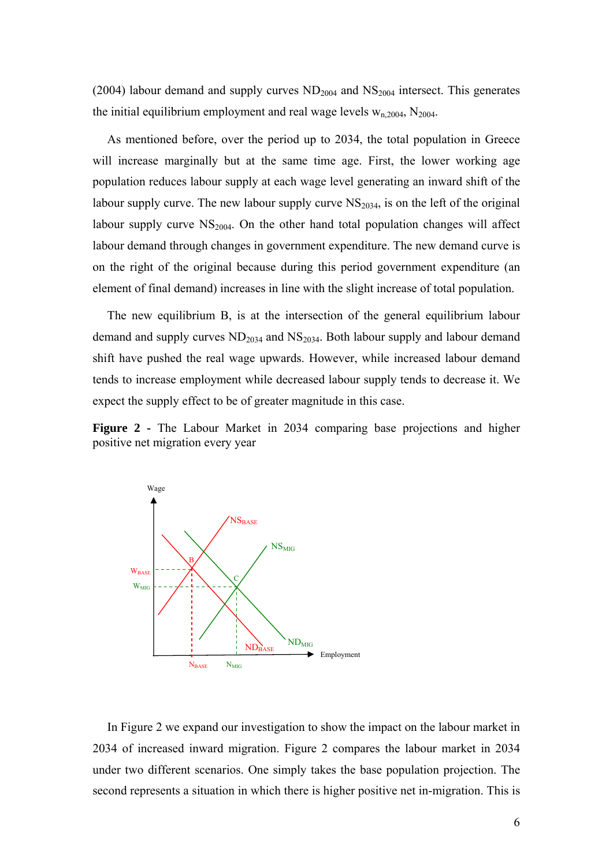(2004) labour demand and supply curves  $ND_{2004}$  and  $NS_{2004}$  intersect. This generates the initial equilibrium employment and real wage levels  $w_{n,2004}$ ,  $N_{2004}$ .

As mentioned before, over the period up to 2034, the total population in Greece will increase marginally but at the same time age. First, the lower working age population reduces labour supply at each wage level generating an inward shift of the labour supply curve. The new labour supply curve  $NS<sub>2034</sub>$ , is on the left of the original labour supply curve  $NS<sub>2004</sub>$ . On the other hand total population changes will affect labour demand through changes in government expenditure. The new demand curve is on the right of the original because during this period government expenditure (an element of final demand) increases in line with the slight increase of total population.

The new equilibrium B, is at the intersection of the general equilibrium labour demand and supply curves  $ND<sub>2034</sub>$  and  $NS<sub>2034</sub>$ . Both labour supply and labour demand shift have pushed the real wage upwards. However, while increased labour demand tends to increase employment while decreased labour supply tends to decrease it. We expect the supply effect to be of greater magnitude in this case.

**Figure 2 -** The Labour Market in 2034 comparing base projections and higher positive net migration every year



In Figure 2 we expand our investigation to show the impact on the labour market in 2034 of increased inward migration. Figure 2 compares the labour market in 2034 under two different scenarios. One simply takes the base population projection. The second represents a situation in which there is higher positive net in-migration. This is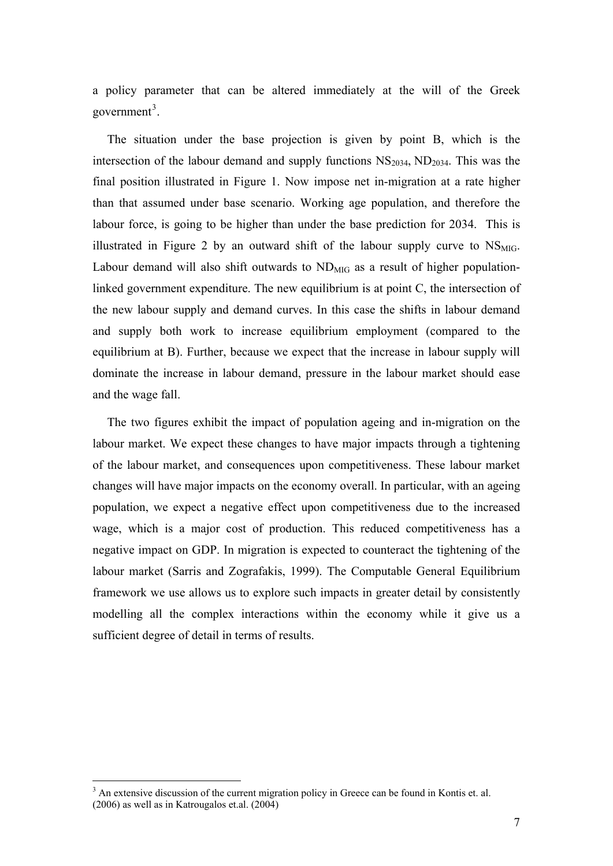a policy parameter that can be altered immediately at the will of the Greek government<sup>[3](#page-6-0)</sup>.

The situation under the base projection is given by point B, which is the intersection of the labour demand and supply functions  $NS<sub>2034</sub>$ ,  $ND<sub>2034</sub>$ . This was the final position illustrated in Figure 1. Now impose net in-migration at a rate higher than that assumed under base scenario. Working age population, and therefore the labour force, is going to be higher than under the base prediction for 2034. This is illustrated in Figure 2 by an outward shift of the labour supply curve to  $NS<sub>MIG</sub>$ . Labour demand will also shift outwards to  $ND_{MIG}$  as a result of higher populationlinked government expenditure. The new equilibrium is at point C, the intersection of the new labour supply and demand curves. In this case the shifts in labour demand and supply both work to increase equilibrium employment (compared to the equilibrium at B). Further, because we expect that the increase in labour supply will dominate the increase in labour demand, pressure in the labour market should ease and the wage fall.

The two figures exhibit the impact of population ageing and in-migration on the labour market. We expect these changes to have major impacts through a tightening of the labour market, and consequences upon competitiveness. These labour market changes will have major impacts on the economy overall. In particular, with an ageing population, we expect a negative effect upon competitiveness due to the increased wage, which is a major cost of production. This reduced competitiveness has a negative impact on GDP. In migration is expected to counteract the tightening of the labour market (Sarris and Zografakis, 1999). The Computable General Equilibrium framework we use allows us to explore such impacts in greater detail by consistently modelling all the complex interactions within the economy while it give us a sufficient degree of detail in terms of results.

1

<span id="page-6-0"></span><sup>&</sup>lt;sup>3</sup> An extensive discussion of the current migration policy in Greece can be found in Kontis et. al. (2006) as well as in Katrougalos et.al. (2004)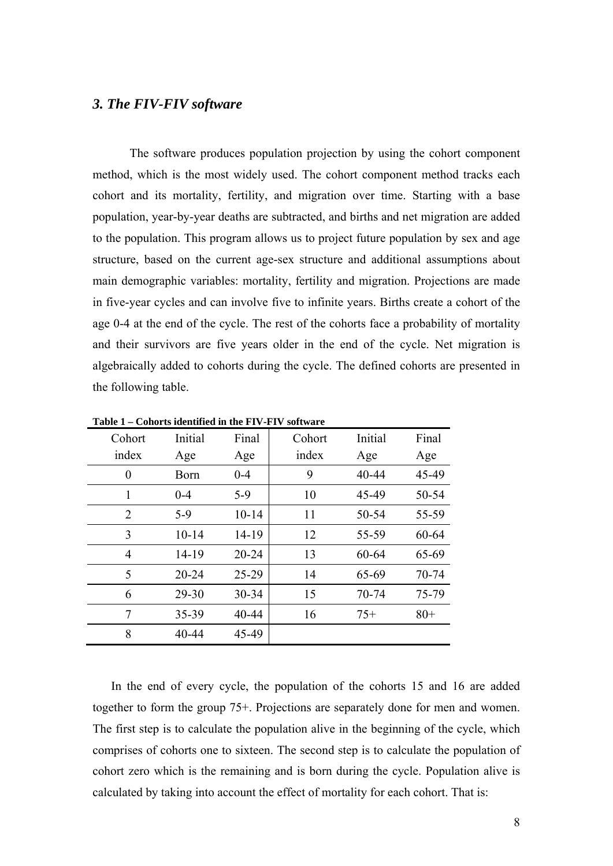#### *3. The FIV-FIV software*

 The software produces population projection by using the cohort component method, which is the most widely used. The cohort component method tracks each cohort and its mortality, fertility, and migration over time. Starting with a base population, year-by-year deaths are subtracted, and births and net migration are added to the population. This program allows us to project future population by sex and age structure, based on the current age-sex structure and additional assumptions about main demographic variables: mortality, fertility and migration. Projections are made in five-year cycles and can involve five to infinite years. Births create a cohort of the age 0-4 at the end of the cycle. The rest of the cohorts face a probability of mortality and their survivors are five years older in the end of the cycle. Net migration is algebraically added to cohorts during the cycle. The defined cohorts are presented in the following table.

| Cohort         | Initial   | Final     | Cohort | Initial | Final |
|----------------|-----------|-----------|--------|---------|-------|
| index          | Age       | Age       | index  | Age     | Age   |
| $\overline{0}$ | Born      | $0 - 4$   | 9      | 40-44   | 45-49 |
| 1              | $0 - 4$   | $5-9$     | 10     | 45-49   | 50-54 |
| $\overline{2}$ | $5-9$     | $10 - 14$ | 11     | 50-54   | 55-59 |
| 3              | $10 - 14$ | 14-19     | 12     | 55-59   | 60-64 |
| $\overline{4}$ | 14-19     | $20 - 24$ | 13     | 60-64   | 65-69 |
| 5              | $20 - 24$ | 25-29     | 14     | 65-69   | 70-74 |
| 6              | 29-30     | 30-34     | 15     | 70-74   | 75-79 |
| 7              | 35-39     | 40-44     | 16     | $75+$   | $80+$ |
| 8              | 40-44     | 45-49     |        |         |       |

**Table 1 – Cohorts identified in the FIV-FIV software** 

In the end of every cycle, the population of the cohorts 15 and 16 are added together to form the group 75+. Projections are separately done for men and women. The first step is to calculate the population alive in the beginning of the cycle, which comprises of cohorts one to sixteen. The second step is to calculate the population of cohort zero which is the remaining and is born during the cycle. Population alive is calculated by taking into account the effect of mortality for each cohort. That is: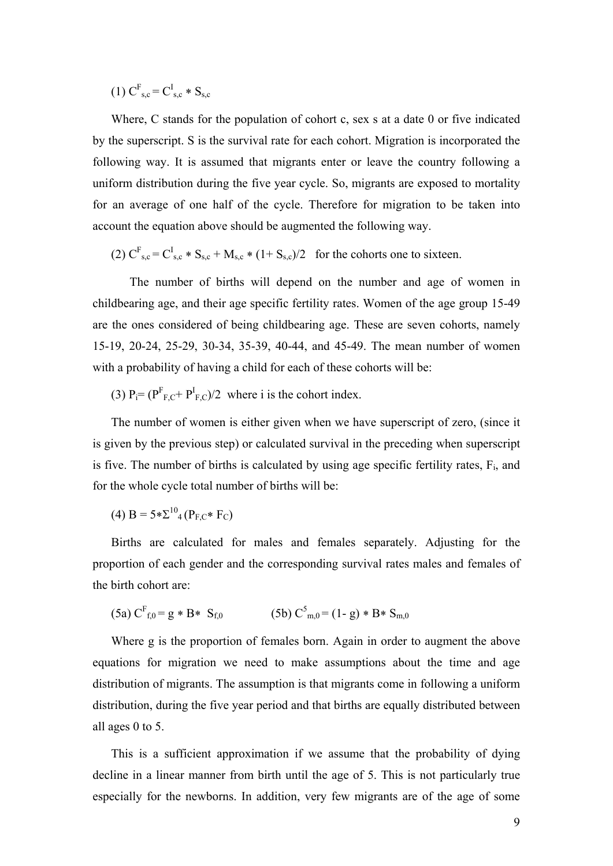$(1)$  C<sup>F</sup><sub>s,c</sub> = C<sup>I</sup><sub>s,c</sub> \* S<sub>s,c</sub>

Where, C stands for the population of cohort c, sex s at a date 0 or five indicated by the superscript. S is the survival rate for each cohort. Migration is incorporated the following way. It is assumed that migrants enter or leave the country following a uniform distribution during the five year cycle. So, migrants are exposed to mortality for an average of one half of the cycle. Therefore for migration to be taken into account the equation above should be augmented the following way.

 $(2)$  C<sup>F</sup><sub>s,c</sub> = C<sup>I</sup><sub>s,c</sub> \* S<sub>s,c</sub> + M<sub>s,c</sub> \* (1+ S<sub>s,c</sub>)/2 for the cohorts one to sixteen.

 The number of births will depend on the number and age of women in childbearing age, and their age specific fertility rates. Women of the age group 15-49 are the ones considered of being childbearing age. These are seven cohorts, namely 15-19, 20-24, 25-29, 30-34, 35-39, 40-44, and 45-49. The mean number of women with a probability of having a child for each of these cohorts will be:

(3)  $P_i = (P_{F,C}^F + P_{F,C}^I)/2$  where i is the cohort index.

The number of women is either given when we have superscript of zero, (since it is given by the previous step) or calculated survival in the preceding when superscript is five. The number of births is calculated by using age specific fertility rates,  $F_i$ , and for the whole cycle total number of births will be:

(4)  $B = 5 * \Sigma^{10}$ <sub>4</sub> ( $P_{E} \rightarrow F_{C}$ )

Births are calculated for males and females separately. Adjusting for the proportion of each gender and the corresponding survival rates males and females of the birth cohort are:

$$
(5a) CFf,0 = g * B * Sf,0 \t (5b) C5m,0 = (1-g) * B * Sm,0
$$

Where g is the proportion of females born. Again in order to augment the above equations for migration we need to make assumptions about the time and age distribution of migrants. The assumption is that migrants come in following a uniform distribution, during the five year period and that births are equally distributed between all ages 0 to 5.

This is a sufficient approximation if we assume that the probability of dying decline in a linear manner from birth until the age of 5. This is not particularly true especially for the newborns. In addition, very few migrants are of the age of some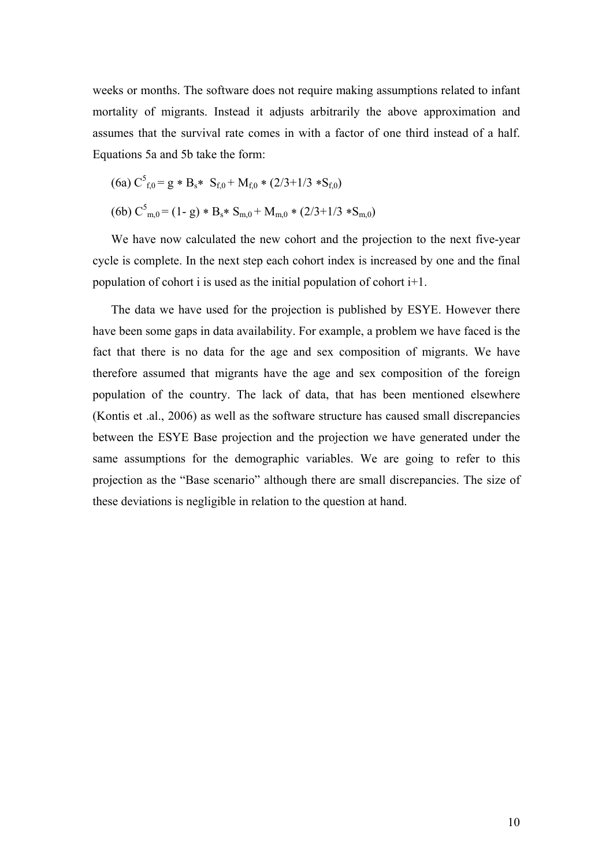weeks or months. The software does not require making assumptions related to infant mortality of migrants. Instead it adjusts arbitrarily the above approximation and assumes that the survival rate comes in with a factor of one third instead of a half. Equations 5a and 5b take the form:

$$
(6a) C5f,0 = g * Bs* Sf,0 + Mf,0 * (2/3+1/3 * Sf,0)
$$
  

$$
(6b) C5m,0 = (1-g) * Bs * Sm,0 + Mm,0 * (2/3+1/3 * Sm,0)
$$

We have now calculated the new cohort and the projection to the next five-year cycle is complete. In the next step each cohort index is increased by one and the final population of cohort i is used as the initial population of cohort  $i+1$ .

The data we have used for the projection is published by ESYE. However there have been some gaps in data availability. For example, a problem we have faced is the fact that there is no data for the age and sex composition of migrants. We have therefore assumed that migrants have the age and sex composition of the foreign population of the country. The lack of data, that has been mentioned elsewhere (Kontis et .al., 2006) as well as the software structure has caused small discrepancies between the ESYE Base projection and the projection we have generated under the same assumptions for the demographic variables. We are going to refer to this projection as the "Base scenario" although there are small discrepancies. The size of these deviations is negligible in relation to the question at hand.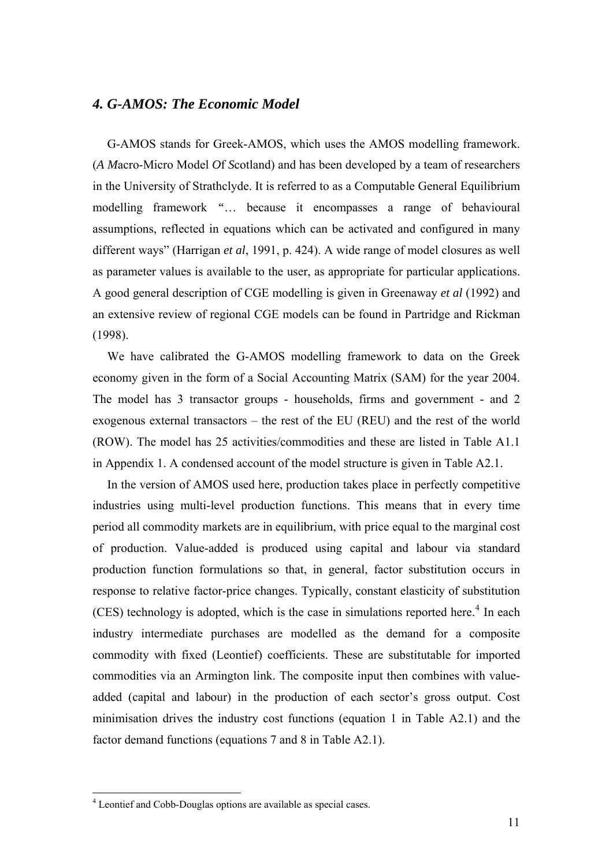## *4. G-AMOS: The Economic Model*

G-AMOS stands for Greek-AMOS, which uses the AMOS modelling framework. (*A M*acro-Micro Model *O*f *S*cotland) and has been developed by a team of researchers in the University of Strathclyde. It is referred to as a Computable General Equilibrium modelling framework *"*… because it encompasses a range of behavioural assumptions, reflected in equations which can be activated and configured in many different ways" (Harrigan *et al*, 1991, p. 424). A wide range of model closures as well as parameter values is available to the user, as appropriate for particular applications. A good general description of CGE modelling is given in Greenaway *et al* (1992) and an extensive review of regional CGE models can be found in Partridge and Rickman (1998).

We have calibrated the G-AMOS modelling framework to data on the Greek economy given in the form of a Social Accounting Matrix (SAM) for the year 2004. The model has 3 transactor groups - households, firms and government - and 2 exogenous external transactors – the rest of the EU (REU) and the rest of the world (ROW). The model has 25 activities/commodities and these are listed in Table A1.1 in Appendix 1. A condensed account of the model structure is given in Table A2.1.

In the version of AMOS used here, production takes place in perfectly competitive industries using multi-level production functions. This means that in every time period all commodity markets are in equilibrium, with price equal to the marginal cost of production. Value-added is produced using capital and labour via standard production function formulations so that, in general, factor substitution occurs in response to relative factor-price changes. Typically, constant elasticity of substitution  $(CES)$  technology is adopted, which is the case in simulations reported here.<sup>[4](#page-10-0)</sup> In each industry intermediate purchases are modelled as the demand for a composite commodity with fixed (Leontief) coefficients. These are substitutable for imported commodities via an Armington link. The composite input then combines with valueadded (capital and labour) in the production of each sector's gross output. Cost minimisation drives the industry cost functions (equation 1 in Table A2.1) and the factor demand functions (equations 7 and 8 in Table A2.1).

<u>.</u>

<span id="page-10-0"></span><sup>&</sup>lt;sup>4</sup> Leontief and Cobb-Douglas options are available as special cases.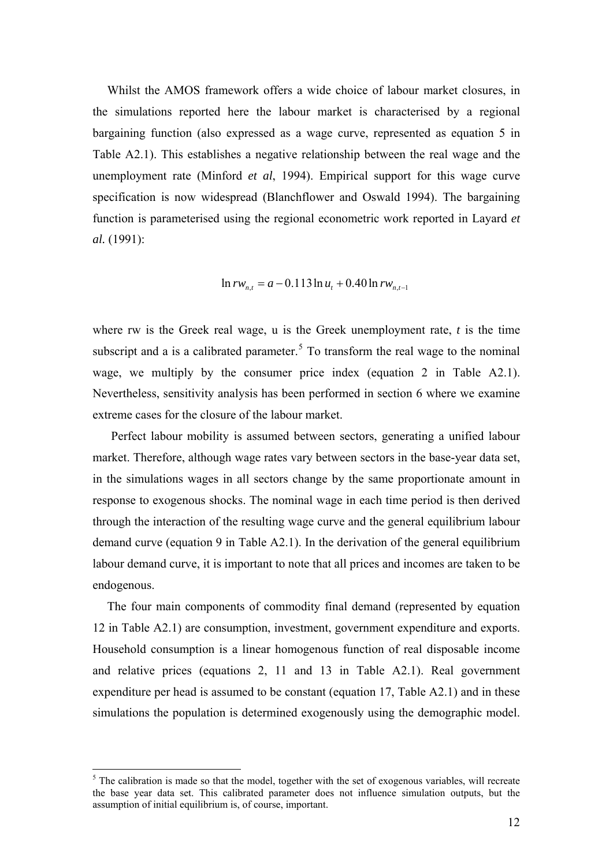Whilst the AMOS framework offers a wide choice of labour market closures, in the simulations reported here the labour market is characterised by a regional bargaining function (also expressed as a wage curve, represented as equation 5 in Table A2.1). This establishes a negative relationship between the real wage and the unemployment rate (Minford *et al*, 1994). Empirical support for this wage curve specification is now widespread (Blanchflower and Oswald 1994). The bargaining function is parameterised using the regional econometric work reported in Layard *et al.* (1991):

$$
\ln rw_{n,t} = a - 0.113 \ln u_t + 0.40 \ln rw_{n,t-1}
$$

where rw is the Greek real wage, u is the Greek unemployment rate, *t* is the time subscript and a is a calibrated parameter.<sup>[5](#page-11-0)</sup> To transform the real wage to the nominal wage, we multiply by the consumer price index (equation 2 in Table A2.1). Nevertheless, sensitivity analysis has been performed in section 6 where we examine extreme cases for the closure of the labour market.

Perfect labour mobility is assumed between sectors, generating a unified labour market. Therefore, although wage rates vary between sectors in the base-year data set, in the simulations wages in all sectors change by the same proportionate amount in response to exogenous shocks. The nominal wage in each time period is then derived through the interaction of the resulting wage curve and the general equilibrium labour demand curve (equation 9 in Table A2.1). In the derivation of the general equilibrium labour demand curve, it is important to note that all prices and incomes are taken to be endogenous.

The four main components of commodity final demand (represented by equation 12 in Table A2.1) are consumption, investment, government expenditure and exports. Household consumption is a linear homogenous function of real disposable income and relative prices (equations 2, 11 and 13 in Table A2.1). Real government expenditure per head is assumed to be constant (equation 17, Table A2.1) and in these simulations the population is determined exogenously using the demographic model.

1

<span id="page-11-0"></span> $<sup>5</sup>$  The calibration is made so that the model, together with the set of exogenous variables, will recreate</sup> the base year data set. This calibrated parameter does not influence simulation outputs, but the assumption of initial equilibrium is, of course, important.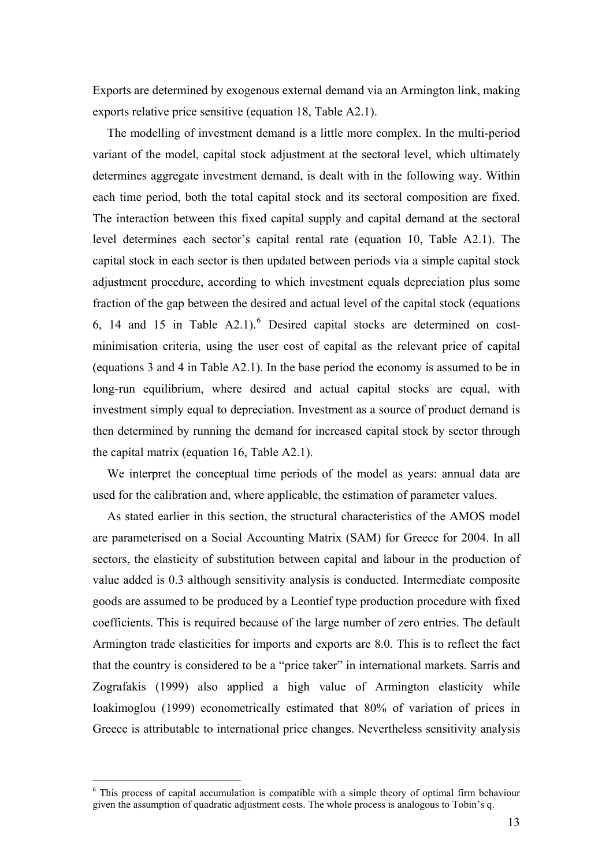Exports are determined by exogenous external demand via an Armington link, making exports relative price sensitive (equation 18, Table A2.1).

The modelling of investment demand is a little more complex. In the multi-period variant of the model, capital stock adjustment at the sectoral level, which ultimately determines aggregate investment demand, is dealt with in the following way. Within each time period, both the total capital stock and its sectoral composition are fixed. The interaction between this fixed capital supply and capital demand at the sectoral level determines each sector's capital rental rate (equation 10, Table A2.1). The capital stock in each sector is then updated between periods via a simple capital stock adjustment procedure, according to which investment equals depreciation plus some fraction of the gap between the desired and actual level of the capital stock (equations [6](#page-12-0), 14 and 15 in Table  $A2.1$ <sup>6</sup> Desired capital stocks are determined on costminimisation criteria, using the user cost of capital as the relevant price of capital (equations 3 and 4 in Table A2.1). In the base period the economy is assumed to be in long-run equilibrium, where desired and actual capital stocks are equal, with investment simply equal to depreciation. Investment as a source of product demand is then determined by running the demand for increased capital stock by sector through the capital matrix (equation 16, Table A2.1).

We interpret the conceptual time periods of the model as years: annual data are used for the calibration and, where applicable, the estimation of parameter values.

As stated earlier in this section, the structural characteristics of the AMOS model are parameterised on a Social Accounting Matrix (SAM) for Greece for 2004. In all sectors, the elasticity of substitution between capital and labour in the production of value added is 0.3 although sensitivity analysis is conducted. Intermediate composite goods are assumed to be produced by a Leontief type production procedure with fixed coefficients. This is required because of the large number of zero entries. The default Armington trade elasticities for imports and exports are 8.0. This is to reflect the fact that the country is considered to be a "price taker" in international markets. Sarris and Zografakis (1999) also applied a high value of Armington elasticity while Ioakimoglou (1999) econometrically estimated that 80% of variation of prices in Greece is attributable to international price changes. Nevertheless sensitivity analysis

1

<span id="page-12-0"></span><sup>&</sup>lt;sup>6</sup> This process of capital accumulation is compatible with a simple theory of optimal firm behaviour given the assumption of quadratic adjustment costs. The whole process is analogous to Tobin's q.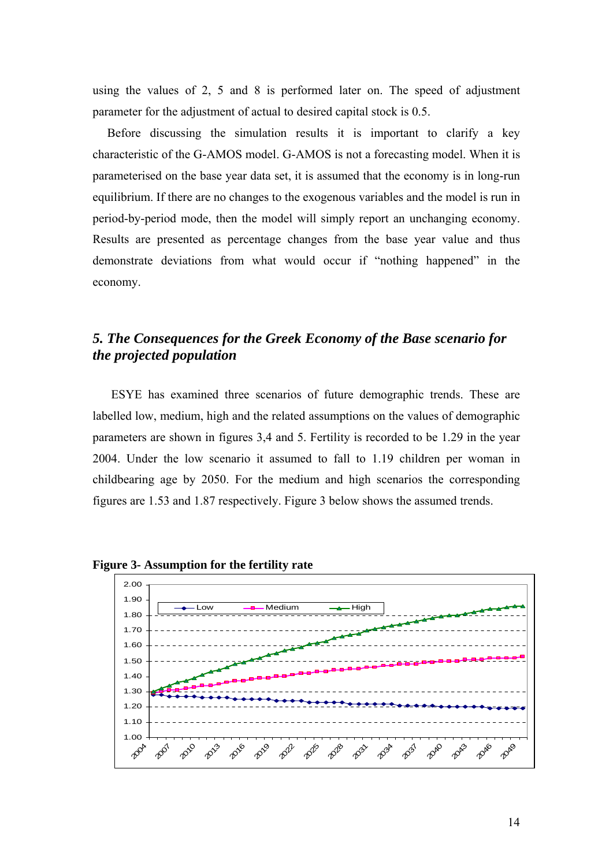using the values of 2, 5 and 8 is performed later on. The speed of adjustment parameter for the adjustment of actual to desired capital stock is 0.5.

Before discussing the simulation results it is important to clarify a key characteristic of the G-AMOS model. G-AMOS is not a forecasting model. When it is parameterised on the base year data set, it is assumed that the economy is in long-run equilibrium. If there are no changes to the exogenous variables and the model is run in period-by-period mode, then the model will simply report an unchanging economy. Results are presented as percentage changes from the base year value and thus demonstrate deviations from what would occur if "nothing happened" in the economy.

# *5. The Consequences for the Greek Economy of the Base scenario for the projected population*

ESYE has examined three scenarios of future demographic trends. These are labelled low, medium, high and the related assumptions on the values of demographic parameters are shown in figures 3,4 and 5. Fertility is recorded to be 1.29 in the year 2004. Under the low scenario it assumed to fall to 1.19 children per woman in childbearing age by 2050. For the medium and high scenarios the corresponding figures are 1.53 and 1.87 respectively. Figure 3 below shows the assumed trends.



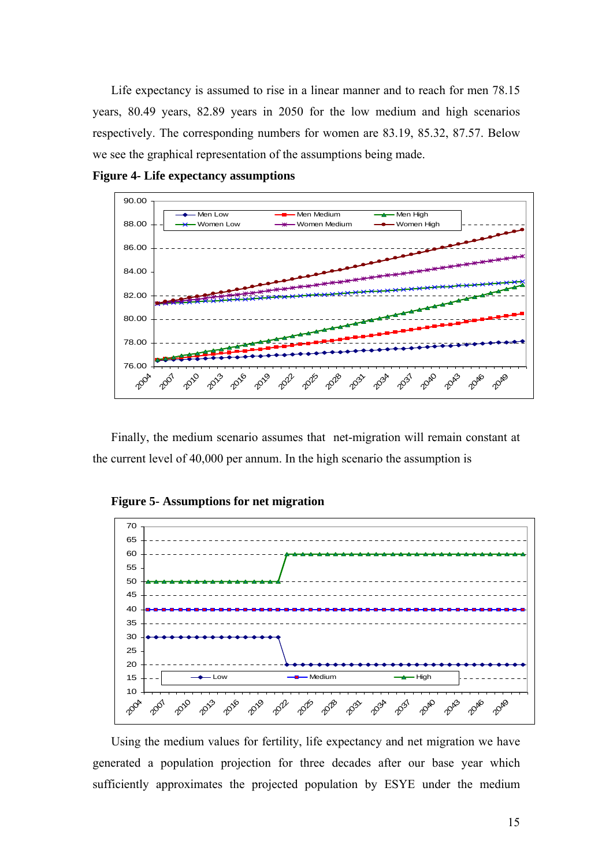Life expectancy is assumed to rise in a linear manner and to reach for men 78.15 years, 80.49 years, 82.89 years in 2050 for the low medium and high scenarios respectively. The corresponding numbers for women are 83.19, 85.32, 87.57. Below we see the graphical representation of the assumptions being made.





Finally, the medium scenario assumes that net-migration will remain constant at the current level of 40,000 per annum. In the high scenario the assumption is





Using the medium values for fertility, life expectancy and net migration we have generated a population projection for three decades after our base year which sufficiently approximates the projected population by ESYE under the medium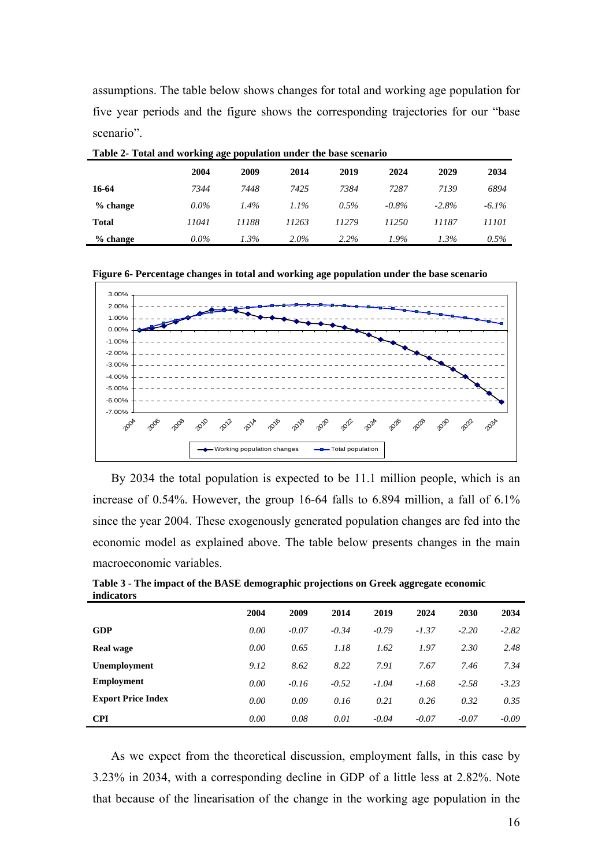assumptions. The table below shows changes for total and working age population for five year periods and the figure shows the corresponding trajectories for our "base scenario".

|              |         | 8 - 8 - 1 - 1 |         |         |          |         |          |
|--------------|---------|---------------|---------|---------|----------|---------|----------|
|              | 2004    | 2009          | 2014    | 2019    | 2024     | 2029    | 2034     |
| 16-64        | 7344    | 7448          | 7425    | 7384    | 7287     | 7139    | 6894     |
| $%$ change   | $0.0\%$ | $1.4\%$       | $1.1\%$ | $0.5\%$ | $-0.8\%$ | $-2.8%$ | $-6.1\%$ |
| <b>Total</b> | 11041   | 11188         | 11263   | 11279   | 11250    | 11187   | 11101    |
| $%$ change   | $0.0\%$ | $1.3\%$       | $2.0\%$ | $2.2\%$ | 1.9%     | $1.3\%$ | $0.5\%$  |

**Table 2- Total and working age population under the base scenario** 

|  |  |  | Figure 6- Percentage changes in total and working age population under the base scenario |
|--|--|--|------------------------------------------------------------------------------------------|
|  |  |  |                                                                                          |



By 2034 the total population is expected to be 11.1 million people, which is an increase of 0.54%. However, the group 16-64 falls to 6.894 million, a fall of 6.1% since the year 2004. These exogenously generated population changes are fed into the economic model as explained above. The table below presents changes in the main macroeconomic variables.

|                           | 2004 | 2009    | 2014    | 2019    | 2024    | 2030    | 2034    |
|---------------------------|------|---------|---------|---------|---------|---------|---------|
| <b>GDP</b>                | 0.00 | $-0.07$ | $-0.34$ | $-0.79$ | $-1.37$ | $-2.20$ | $-2.82$ |
| <b>Real wage</b>          | 0.00 | 0.65    | 1.18    | 1.62    | 1.97    | 2.30    | 2.48    |
| Unemployment              | 9.12 | 8.62    | 8.22    | 7.91    | 7.67    | 7.46    | 7.34    |
| <b>Employment</b>         | 0.00 | $-0.16$ | $-0.52$ | $-1.04$ | $-1.68$ | $-2.58$ | $-3.23$ |
| <b>Export Price Index</b> | 0.00 | 0.09    | 0.16    | 0.21    | 0.26    | 0.32    | 0.35    |
| <b>CPI</b>                | 0.00 | 0.08    | 0.01    | $-0.04$ | $-0.07$ | $-0.07$ | $-0.09$ |

**Table 3 - The impact of the BASE demographic projections on Greek aggregate economic indicators** 

As we expect from the theoretical discussion, employment falls, in this case by 3.23% in 2034, with a corresponding decline in GDP of a little less at 2.82%. Note that because of the linearisation of the change in the working age population in the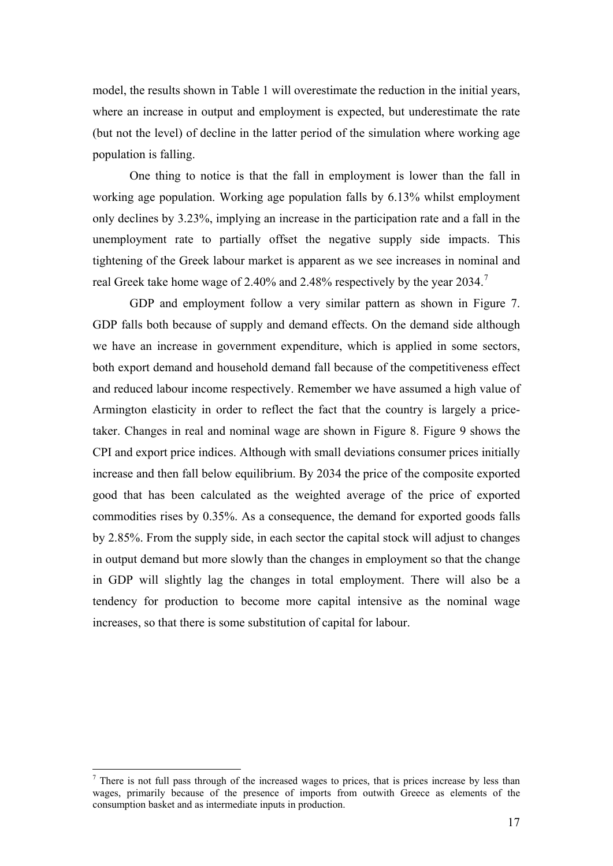model, the results shown in Table 1 will overestimate the reduction in the initial years, where an increase in output and employment is expected, but underestimate the rate (but not the level) of decline in the latter period of the simulation where working age population is falling.

One thing to notice is that the fall in employment is lower than the fall in working age population. Working age population falls by 6.13% whilst employment only declines by 3.23%, implying an increase in the participation rate and a fall in the unemployment rate to partially offset the negative supply side impacts. This tightening of the Greek labour market is apparent as we see increases in nominal and real Greek take home wage of 2.40% and 2.48% respectively by the year 2034.<sup>[7](#page-16-0)</sup>

GDP and employment follow a very similar pattern as shown in Figure 7. GDP falls both because of supply and demand effects. On the demand side although we have an increase in government expenditure, which is applied in some sectors, both export demand and household demand fall because of the competitiveness effect and reduced labour income respectively. Remember we have assumed a high value of Armington elasticity in order to reflect the fact that the country is largely a pricetaker. Changes in real and nominal wage are shown in Figure 8. Figure 9 shows the CPI and export price indices. Although with small deviations consumer prices initially increase and then fall below equilibrium. By 2034 the price of the composite exported good that has been calculated as the weighted average of the price of exported commodities rises by 0.35%. As a consequence, the demand for exported goods falls by 2.85%. From the supply side, in each sector the capital stock will adjust to changes in output demand but more slowly than the changes in employment so that the change in GDP will slightly lag the changes in total employment. There will also be a tendency for production to become more capital intensive as the nominal wage increases, so that there is some substitution of capital for labour.

1

<span id="page-16-0"></span> $<sup>7</sup>$  There is not full pass through of the increased wages to prices, that is prices increase by less than</sup> wages, primarily because of the presence of imports from outwith Greece as elements of the consumption basket and as intermediate inputs in production.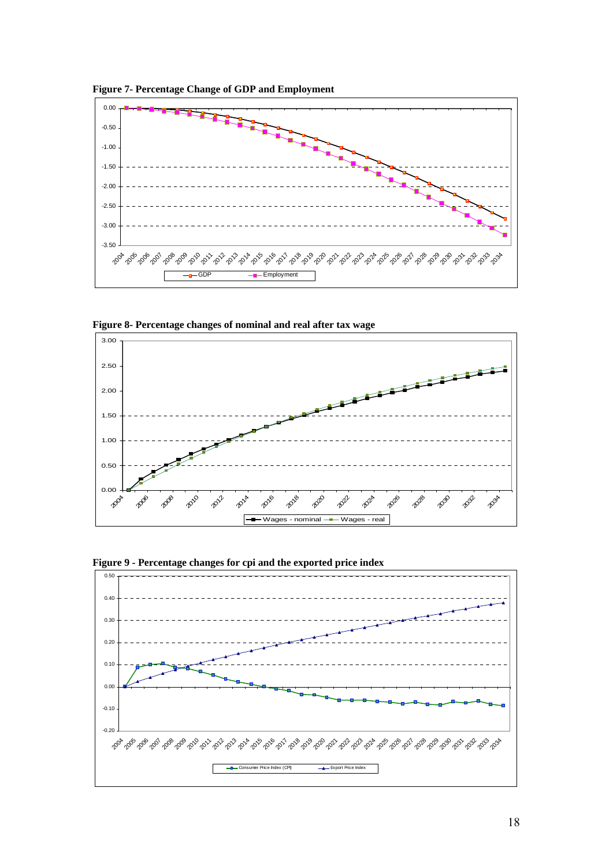**Figure 7- Percentage Change of GDP and Employment** 



**Figure 8- Percentage changes of nominal and real after tax wage** 





**Figure 9 - Percentage changes for cpi and the exported price index**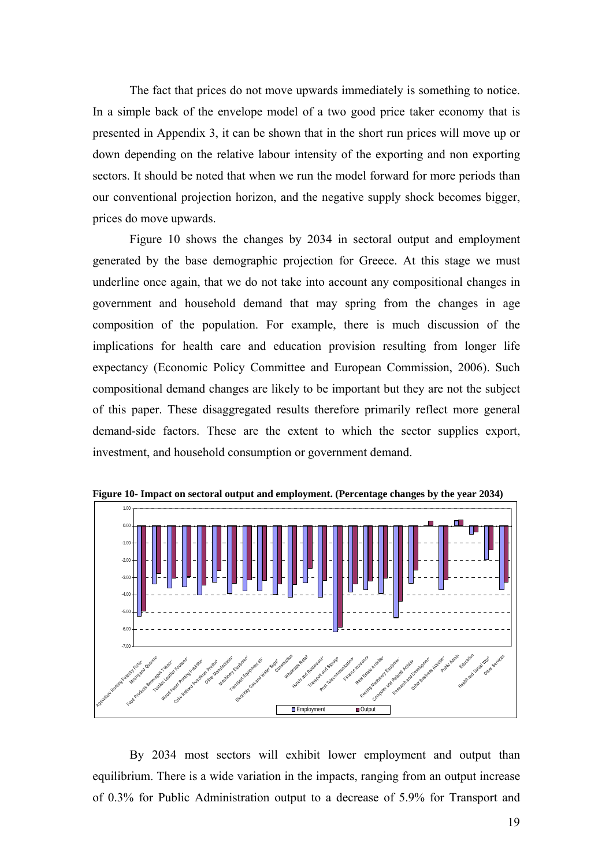The fact that prices do not move upwards immediately is something to notice. In a simple back of the envelope model of a two good price taker economy that is presented in Appendix 3, it can be shown that in the short run prices will move up or down depending on the relative labour intensity of the exporting and non exporting sectors. It should be noted that when we run the model forward for more periods than our conventional projection horizon, and the negative supply shock becomes bigger, prices do move upwards.

Figure 10 shows the changes by 2034 in sectoral output and employment generat ed by the base demographic projection for Greece. At this stage we must underline once again, that we do not take into account any compositional changes in government and household demand that may spring from the changes in age composition of the population. For example, there is much discussion of the implications for health care and education provision resulting from longer life expectancy (Economic Policy Committee and European Commission, 2006). Such compositional demand changes are likely to be important but they are not the subject of this paper. These disaggregated results therefore primarily reflect more general demand-side factors. These are the extent to which the sector supplies export, investment, and household consumption or government demand.



**Figure 10- Impact on sectoral output and employment. (Percentage changes by the year 2034)** 

By 2034 most sectors will exhibit lower employment and output than equilibrium. There is a wide variation in the impacts, ranging from an output increase of 0.3% for Public Administration output to a decrease of 5.9% for Transport and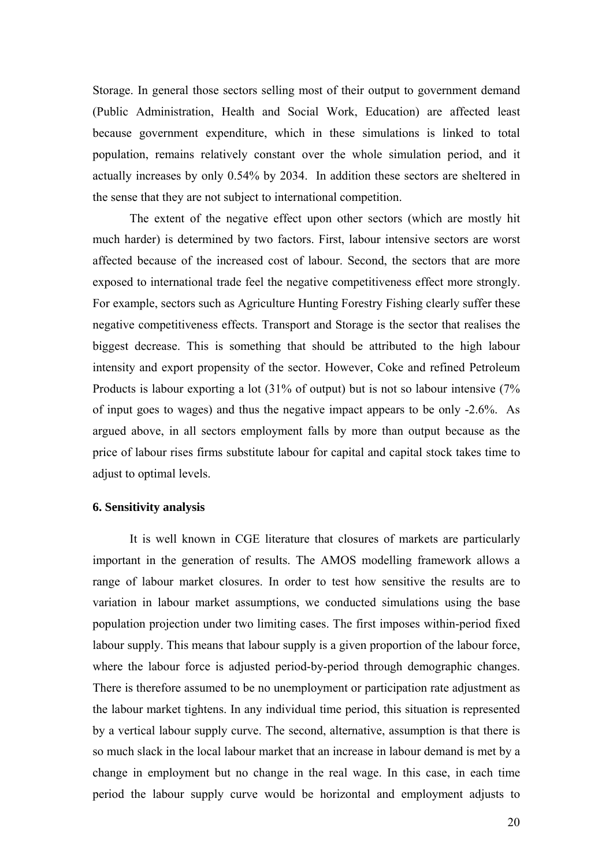Storage. In general those sectors selling most of their output to government demand (Public Administration, Health and Social Work, Education) are affected least because government expenditure, which in these simulations is linked to total population, remains relatively constant over the whole simulation period, and it actually increases by only 0.54% by 2034. In addition these sectors are sheltered in the sense that they are not subject to international competition.

The extent of the negative effect upon other sectors (which are mostly hit much h arder) is determined by two factors. First, labour intensive sectors are worst affected because of the increased cost of labour. Second, the sectors that are more exposed to international trade feel the negative competitiveness effect more strongly. For example, sectors such as Agriculture Hunting Forestry Fishing clearly suffer these negative competitiveness effects. Transport and Storage is the sector that realises the biggest decrease. This is something that should be attributed to the high labour intensity and export propensity of the sector. However, Coke and refined Petroleum Products is labour exporting a lot (31% of output) but is not so labour intensive (7% of input goes to wages) and thus the negative impact appears to be only -2.6%. As argued above, in all sectors employment falls by more than output because as the price of labour rises firms substitute labour for capital and capital stock takes time to adjust to optimal levels.

#### **6. Sensitivity analysis**

It is well known in CGE literature that closures of markets are particularly important in the generation of results. The AMOS modelling framework allows a range of labour market closures. In order to test how sensitive the results are to variation in labour market assumptions, we conducted simulations using the base population projection under two limiting cases. The first imposes within-period fixed labour supply. This means that labour supply is a given proportion of the labour force, where the labour force is adjusted period-by-period through demographic changes. There is therefore assumed to be no unemployment or participation rate adjustment as the labour market tightens. In any individual time period, this situation is represented by a vertical labour supply curve. The second, alternative, assumption is that there is so much slack in the local labour market that an increase in labour demand is met by a change in employment but no change in the real wage. In this case, in each time period the labour supply curve would be horizontal and employment adjusts to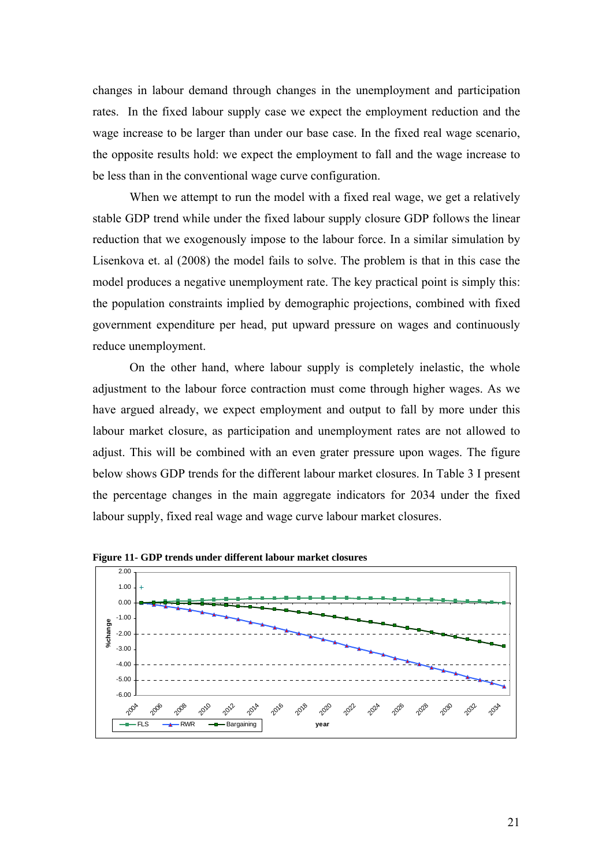changes in labour demand through changes in the unemployment and participation rates. In the fixed labour supply case we expect the employment reduction and the wage increase to be larger than under our base case. In the fixed real wage scenario, the opposite results hold: we expect the employment to fall and the wage increase to be less than in the conventional wage curve configuration.

When we attempt to run the model with a fixed real wage, we get a relatively stable G DP trend while under the fixed labour supply closure GDP follows the linear reduction that we exogenously impose to the labour force. In a similar simulation by Lisenkova et. al (2008) the model fails to solve. The problem is that in this case the model produces a negative unemployment rate. The key practical point is simply this: the population constraints implied by demographic projections, combined with fixed government expenditure per head, put upward pressure on wages and continuously reduce unemployment.

On the other hand, where labour supply is completely inelastic, the whole adjustm ent to the labour force contraction must come through higher wages. As we have argued already, we expect employment and output to fall by more under this labour market closure, as participation and unemployment rates are not allowed to adjust. This will be combined with an even grater pressure upon wages. The figure below shows GDP trends for the different labour market closures. In Table 3 I present the percentage changes in the main aggregate indicators for 2034 under the fixed labour supply, fixed real wage and wage curve labour market closures.



**Figure 11- GDP trends under different labour market closures**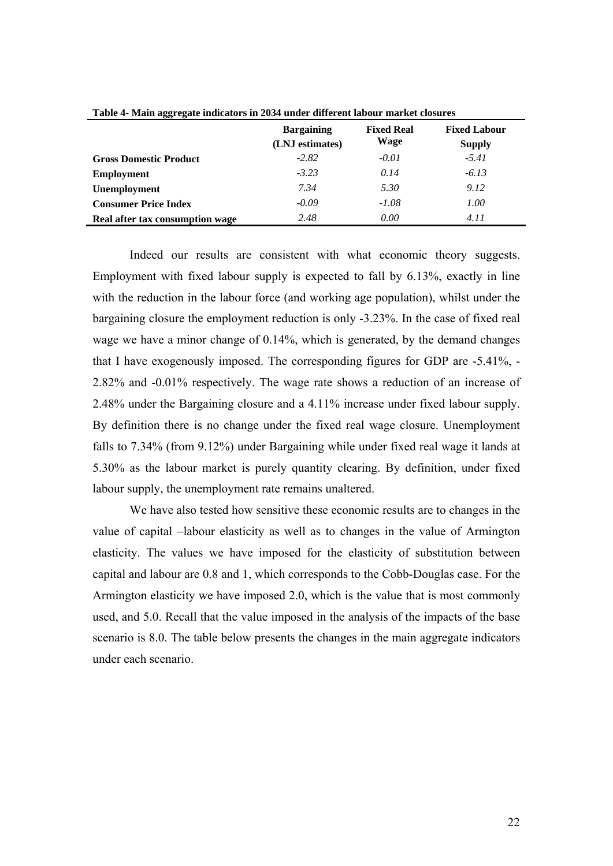| Tuble + Thum agglegate multators in 2004 under unter the moodi market closures |                                      |                           |                                      |  |
|--------------------------------------------------------------------------------|--------------------------------------|---------------------------|--------------------------------------|--|
|                                                                                | <b>Bargaining</b><br>(LNJ estimates) | <b>Fixed Real</b><br>Wage | <b>Fixed Labour</b><br><b>Supply</b> |  |
| <b>Gross Domestic Product</b>                                                  | $-2.82$                              | $-0.01$                   | $-5.41$                              |  |
| <b>Employment</b>                                                              | $-3.23$                              | 0.14                      | $-6.13$                              |  |
| <b>Unemployment</b>                                                            | 7.34                                 | 5.30                      | 9.12                                 |  |
| <b>Consumer Price Index</b>                                                    | $-0.09$                              | -1.08                     | 1.00                                 |  |
| Real after tax consumption wage                                                | 2.48                                 | 0.00                      | 4.11                                 |  |

**Table 4- Main aggregate indicators in 2034 under different labour market closures** 

Indeed our results are consistent with what economic theory suggests. Employment with fixed labour supply is expected to fall by 6.13%, exactly in line with the reduction in the labour force (and working age population), whilst under the bargaining closure the employment reduction is only -3.23%. In the case of fixed real wage we have a minor change of 0.14%, which is generated, by the demand changes that I have exogenously imposed. The corresponding figures for GDP are -5.41%, - 2.82% and -0.01% respectively. The wage rate shows a reduction of an increase of 2.48% under the Bargaining closure and a 4.11% increase under fixed labour supply. By definition there is no change under the fixed real wage closure. Unemployment falls to 7.34% (from 9.12%) under Bargaining while under fixed real wage it lands at 5.30% as the labour market is purely quantity clearing. By definition, under fixed labour supply, the unemployment rate remains unaltered.

We have also tested how sensitive these economic results are to changes in the value of capital –labour elasticity as well as to changes in the value of Armington elasticity. The values we have imposed for the elasticity of substitution between capital and labour are 0.8 and 1, which corresponds to the Cobb-Douglas case. For the Armington elasticity we have imposed 2.0, which is the value that is most commonly used, and 5.0. Recall that the value imposed in the analysis of the impacts of the base scenario is 8.0. The table below presents the changes in the main aggregate indicators under each scenario.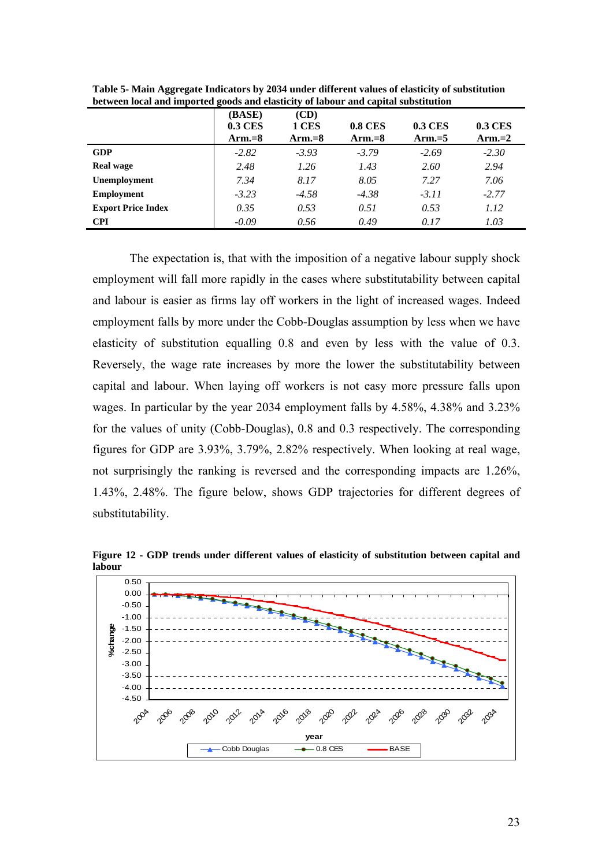|                           | $\bullet$<br>(BASE)<br><b>0.3 CES</b> | $\overline{\phantom{a}}$<br>(CD)<br>1 CES | <b>0.8 CES</b> | <b>0.3 CES</b> | <b>0.3 CES</b> |
|---------------------------|---------------------------------------|-------------------------------------------|----------------|----------------|----------------|
|                           | Arm. $=8$                             | Arm. $=8$                                 | Arm. $=8$      | Arm $=$ 5      | Arm. $=2$      |
| <b>GDP</b>                | $-2.82$                               | $-3.93$                                   | $-3.79$        | $-2.69$        | $-2.30$        |
| <b>Real wage</b>          | 2.48                                  | 1.26                                      | 1.43           | 2.60           | 2.94           |
| Unemployment              | 7.34                                  | 8.17                                      | 8.05           | 7.27           | 7.06           |
| <b>Employment</b>         | $-3.23$                               | $-4.58$                                   | $-4.38$        | $-3.11$        | $-2.77$        |
| <b>Export Price Index</b> | 0.35                                  | 0.53                                      | 0.51           | 0.53           | 1.12           |
| <b>CPI</b>                | $-0.09$                               | 0.56                                      | 0.49           | 0.17           | 1.03           |

**Table 5- Main Aggregate Indicators by 2034 under different values of elasticity of substitution between local and imported goods and elasticity of labour and capital substitution** 

The expectation is, that with the imposition of a negative labour supply shock employment will fall more rapidly in the cases where substitutability between capital and labour is easier as firms lay off workers in the light of increased wages. Indeed employment falls by more under the Cobb-Douglas assumption by less when we have elasticity of substitution equalling 0.8 and even by less with the value of 0.3. Reversely, the wage rate increases by more the lower the substitutability between capital and labour. When laying off workers is not easy more pressure falls upon wages. In particular by the year 2034 employment falls by 4.58%, 4.38% and 3.23% for the values of unity (Cobb-Douglas), 0.8 and 0.3 respectively. The corresponding figures for GDP are 3.93%, 3.79%, 2.82% respectively. When looking at real wage, not surprisingly the ranking is reversed and the corresponding impacts are 1.26%, 1.43%, 2.48%. The figure below, shows GDP trajectories for different degrees of substitutability.

**Figure 12 - GDP trends under different values of elasticity of substitution between capital and labour** 

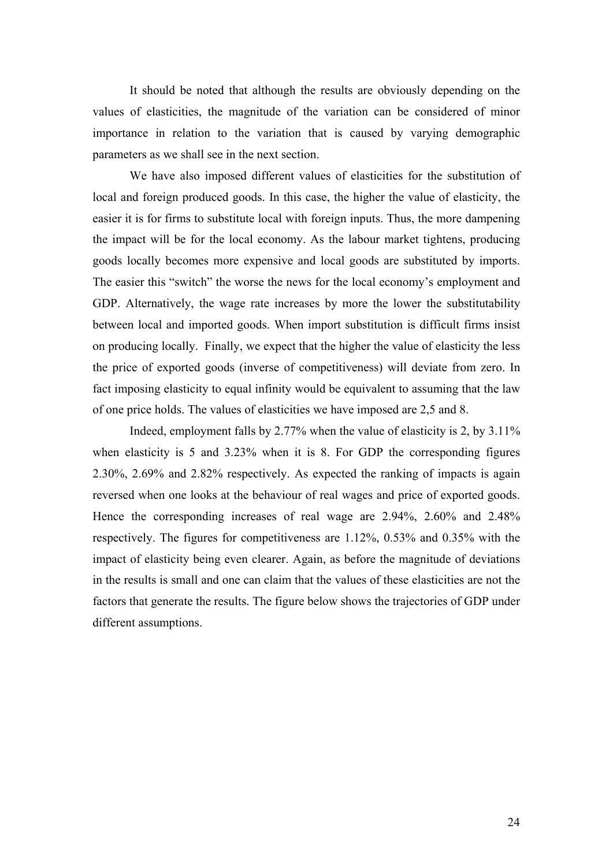It should be noted that although the results are obviously depending on the values of elasticities, the magnitude of the variation can be considered of minor importance in relation to the variation that is caused by varying demographic parameters as we shall see in the next section.

We have also imposed different values of elasticities for the substitution of local and foreign produced goods. In this case, the higher the value of elasticity, the easier it is for firms to substitute local with foreign inputs. Thus, the more dampening the impact will be for the local economy. As the labour market tightens, producing goods locally becomes more expensive and local goods are substituted by imports. The easier this "switch" the worse the news for the local economy's employment and GDP. Alternatively, the wage rate increases by more the lower the substitutability between local and imported goods. When import substitution is difficult firms insist on producing locally. Finally, we expect that the higher the value of elasticity the less the price of exported goods (inverse of competitiveness) will deviate from zero. In fact imposing elasticity to equal infinity would be equivalent to assuming that the law of one price holds. The values of elasticities we have imposed are 2,5 and 8.

 Indeed, employment falls by 2.77% when the value of elasticity is 2, by 3.11% when elasticity is 5 and 3.23% when it is 8. For GDP the corresponding figures 2.30%, 2.69% and 2.82% respectively. As expected the ranking of impacts is again reversed when one looks at the behaviour of real wages and price of exported goods. Hence the corresponding increases of real wage are 2.94%, 2.60% and 2.48% respectively. The figures for competitiveness are 1.12%, 0.53% and 0.35% with the impact of elasticity being even clearer. Again, as before the magnitude of deviations in the results is small and one can claim that the values of these elasticities are not the factors that generate the results. The figure below shows the trajectories of GDP under different assumptions.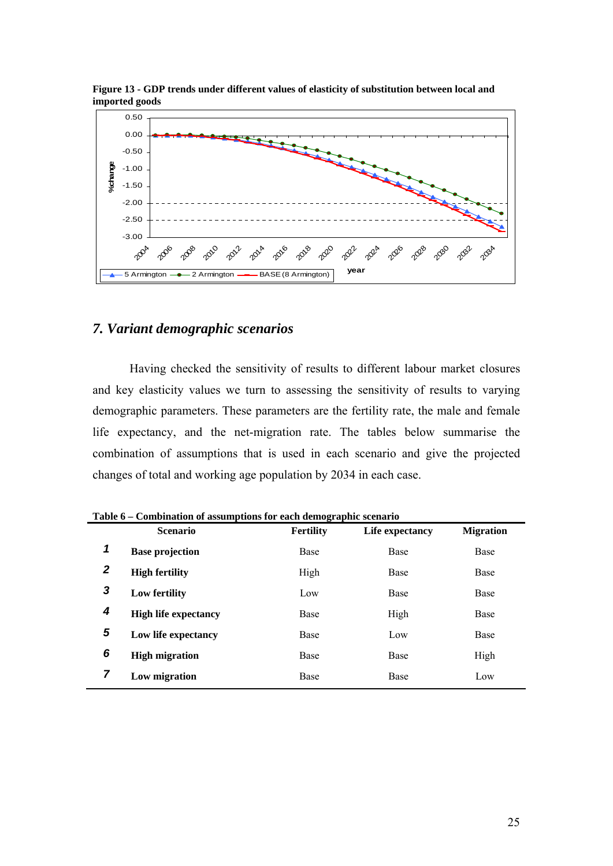

**Figure 13 - GDP trends under different values of elasticity of substitution between local and imported goods** 

## *7. Variant demographic scenarios*

Having checked the sensitivity of results to different labour market closures and key elasticity values we turn to assessing the sensitivity of results to varying demographic parameters. These parameters are the fertility rate, the male and female life expectancy, and the net-migration rate. The tables below summarise the combination of assumptions that is used in each scenario and give the projected changes of total and working age population by 2034 in each case.

|   | Table 6 – Combination of assumptions for each demographic scenario<br><b>Scenario</b> | <b>Fertility</b> | Life expectancy | <b>Migration</b> |
|---|---------------------------------------------------------------------------------------|------------------|-----------------|------------------|
| 1 | <b>Base projection</b>                                                                | Base             | Base            | Base             |
| 2 | <b>High fertility</b>                                                                 | High             | Base            | Base             |
| 3 | Low fertility                                                                         | Low              | Base            | Base             |
| 4 | <b>High life expectancy</b>                                                           | Base             | High            | <b>Base</b>      |
| 5 | Low life expectancy                                                                   | Base             | Low             | Base             |
| 6 | <b>High migration</b>                                                                 | Base             | Base            | High             |
| 7 | Low migration                                                                         | Base             | Base            | Low              |

**Table 6 – Combination of assumptions for each demographic scenario**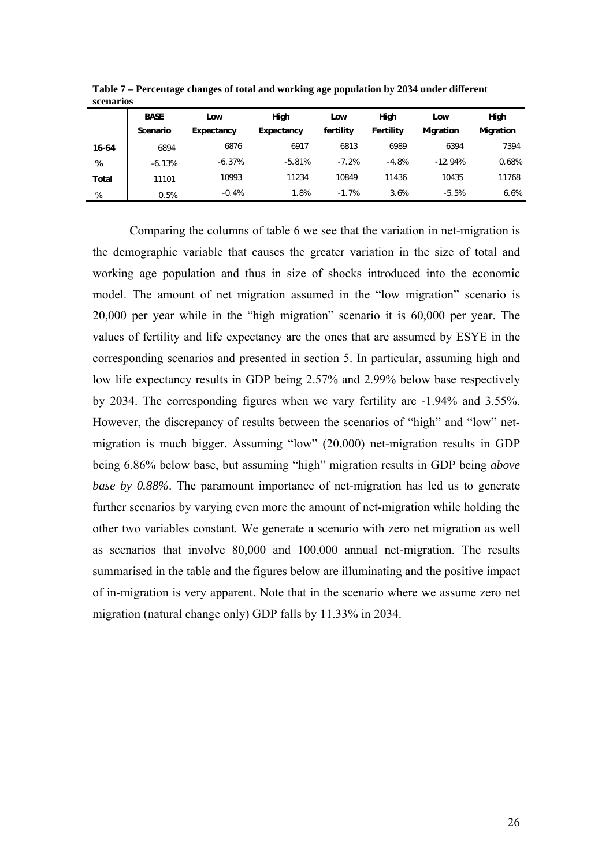| $-0.001$ $-0.000$ |             |            |            |           |           |           |           |
|-------------------|-------------|------------|------------|-----------|-----------|-----------|-----------|
|                   | <b>BASE</b> | Low        | High       | Low       | High      | Low       | High      |
|                   | Scenario    | Expectancy | Expectancy | fertility | Fertility | Migration | Migration |
| 16-64             | 6894        | 6876       | 6917       | 6813      | 6989      | 6394      | 7394      |
| %                 | $-6.13%$    | $-6.37%$   | $-5.81%$   | $-7.2%$   | $-4.8%$   | $-12.94%$ | 0.68%     |
| Total             | 11101       | 10993      | 11234      | 10849     | 11436     | 10435     | 11768     |
| %                 | 0.5%        | $-0.4%$    | 1.8%       | $-1.7%$   | 3.6%      | $-5.5%$   | 6.6%      |

**Table 7 – Percentage changes of total and working age population by 2034 under different scenarios** 

Comparing the columns of table 6 we see that the variation in net-migration is the demographic variable that causes the greater variation in the size of total and working age population and thus in size of shocks introduced into the economic model. The amount of net migration assumed in the "low migration" scenario is 20,000 per year while in the "high migration" scenario it is 60,000 per year. The values of fertility and life expectancy are the ones that are assumed by ESYE in the corresponding scenarios and presented in section 5. In particular, assuming high and low life expectancy results in GDP being 2.57% and 2.99% below base respectively by 2034. The corresponding figures when we vary fertility are -1.94% and 3.55%. However, the discrepancy of results between the scenarios of "high" and "low" netmigration is much bigger. Assuming "low" (20,000) net-migration results in GDP being 6.86% below base, but assuming "high" migration results in GDP being *above base by 0.88%*. The paramount importance of net-migration has led us to generate further scenarios by varying even more the amount of net-migration while holding the other two variables constant. We generate a scenario with zero net migration as well as scenarios that involve 80,000 and 100,000 annual net-migration. The results summarised in the table and the figures below are illuminating and the positive impact of in-migration is very apparent. Note that in the scenario where we assume zero net migration (natural change only) GDP falls by 11.33% in 2034.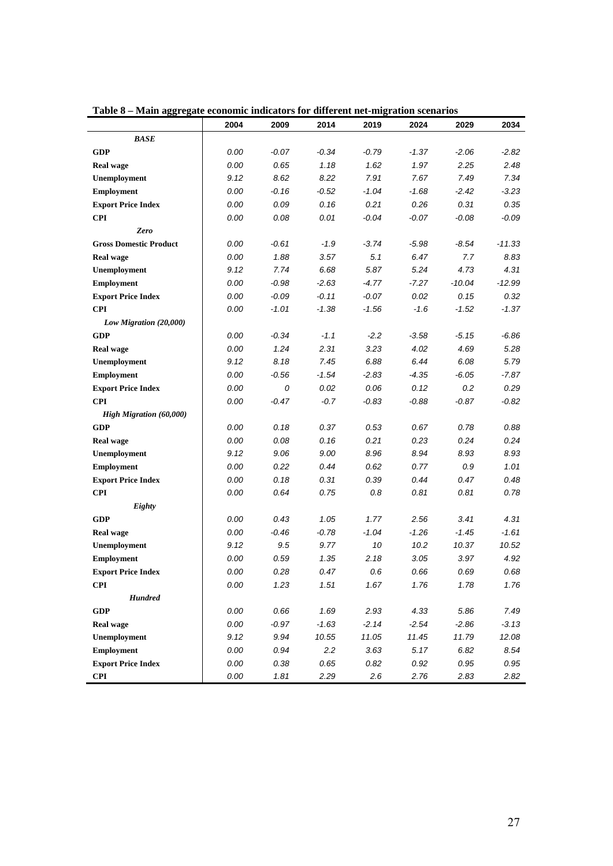|                               | 2004 | 2009    | 2014    | 2019    | 2024    | 2029     | 2034     |
|-------------------------------|------|---------|---------|---------|---------|----------|----------|
| <b>BASE</b>                   |      |         |         |         |         |          |          |
| <b>GDP</b>                    | 0.00 | $-0.07$ | $-0.34$ | $-0.79$ | $-1.37$ | $-2.06$  | $-2.82$  |
| <b>Real wage</b>              | 0.00 | 0.65    | 1.18    | 1.62    | 1.97    | 2.25     | 2.48     |
| Unemployment                  | 9.12 | 8.62    | 8.22    | 7.91    | 7.67    | 7.49     | 7.34     |
| <b>Employment</b>             | 0.00 | $-0.16$ | $-0.52$ | $-1.04$ | $-1.68$ | $-2.42$  | $-3.23$  |
| <b>Export Price Index</b>     | 0.00 | 0.09    | 0.16    | 0.21    | 0.26    | 0.31     | 0.35     |
| <b>CPI</b>                    | 0.00 | 0.08    | 0.01    | $-0.04$ | $-0.07$ | $-0.08$  | $-0.09$  |
| Zero                          |      |         |         |         |         |          |          |
| <b>Gross Domestic Product</b> | 0.00 | -0.61   | $-1.9$  | $-3.74$ | -5.98   | $-8.54$  | $-11.33$ |
| Real wage                     | 0.00 | 1.88    | 3.57    | 5.1     | 6.47    | 7.7      | 8.83     |
| Unemployment                  | 9.12 | 7.74    | 6.68    | 5.87    | 5.24    | 4.73     | 4.31     |
| <b>Employment</b>             | 0.00 | $-0.98$ | $-2.63$ | $-4.77$ | $-7.27$ | $-10.04$ | $-12.99$ |
| <b>Export Price Index</b>     | 0.00 | $-0.09$ | $-0.11$ | $-0.07$ | 0.02    | 0.15     | 0.32     |
| <b>CPI</b>                    | 0.00 | $-1.01$ | $-1.38$ | $-1.56$ | $-1.6$  | $-1.52$  | $-1.37$  |
| Low Migration (20,000)        |      |         |         |         |         |          |          |
| <b>GDP</b>                    | 0.00 | $-0.34$ | $-1.1$  | $-2.2$  | $-3.58$ | $-5.15$  | $-6.86$  |
| <b>Real wage</b>              | 0.00 | 1.24    | 2.31    | 3.23    | 4.02    | 4.69     | 5.28     |
| Unemployment                  | 9.12 | 8.18    | 7.45    | 6.88    | 6.44    | 6.08     | 5.79     |
| <b>Employment</b>             | 0.00 | $-0.56$ | $-1.54$ | $-2.83$ | $-4.35$ | $-6.05$  | -7.87    |
| <b>Export Price Index</b>     | 0.00 | 0       | 0.02    | 0.06    | 0.12    | 0.2      | 0.29     |
| <b>CPI</b>                    | 0.00 | -0.47   | $-0.7$  | $-0.83$ | $-0.88$ | $-0.87$  | -0.82    |
| High Migration (60,000)       |      |         |         |         |         |          |          |
| <b>GDP</b>                    | 0.00 | 0.18    | 0.37    | 0.53    | 0.67    | 0.78     | 0.88     |
| <b>Real wage</b>              | 0.00 | 0.08    | 0.16    | 0.21    | 0.23    | 0.24     | 0.24     |
| Unemployment                  | 9.12 | 9.06    | 9.00    | 8.96    | 8.94    | 8.93     | 8.93     |
| <b>Employment</b>             | 0.00 | 0.22    | 0.44    | 0.62    | 0.77    | 0.9      | 1.01     |
| <b>Export Price Index</b>     | 0.00 | 0.18    | 0.31    | 0.39    | 0.44    | 0.47     | 0.48     |
| <b>CPI</b>                    | 0.00 | 0.64    | 0.75    | 0.8     | 0.81    | 0.81     | 0.78     |
| Eighty                        |      |         |         |         |         |          |          |
| <b>GDP</b>                    | 0.00 | 0.43    | 1.05    | 1.77    | 2.56    | 3.41     | 4.31     |
| <b>Real wage</b>              | 0.00 | $-0.46$ | $-0.78$ | $-1.04$ | $-1.26$ | $-1.45$  | $-1.61$  |
| Unemployment                  | 9.12 | 9.5     | 9.77    | 10      | 10.2    | 10.37    | 10.52    |
| <b>Employment</b>             | 0.00 | 0.59    | 1.35    | 2.18    | 3.05    | 3.97     | 4.92     |
| <b>Export Price Index</b>     | 0.00 | 0.28    | 0.47    | 0.6     | 0.66    | 0.69     | 0.68     |
| CPI                           | 0.00 | 1.23    | 1.51    | 1.67    | 1.76    | 1.78     | 1.76     |
| <b>Hundred</b>                |      |         |         |         |         |          |          |
| <b>GDP</b>                    | 0.00 | 0.66    | 1.69    | 2.93    | 4.33    | 5.86     | 7.49     |
| <b>Real wage</b>              | 0.00 | $-0.97$ | $-1.63$ | $-2.14$ | $-2.54$ | $-2.86$  | $-3.13$  |
| Unemployment                  | 9.12 | 9.94    | 10.55   | 11.05   | 11.45   | 11.79    | 12.08    |
| <b>Employment</b>             | 0.00 | 0.94    | 2.2     | 3.63    | 5.17    | 6.82     | 8.54     |
| <b>Export Price Index</b>     | 0.00 | 0.38    | 0.65    | 0.82    | 0.92    | 0.95     | 0.95     |
| <b>CPI</b>                    | 0.00 | 1.81    | 2.29    | 2.6     | 2.76    | 2.83     | 2.82     |

**Table 8 – Main aggregate economic indicators for different net-migration scenarios**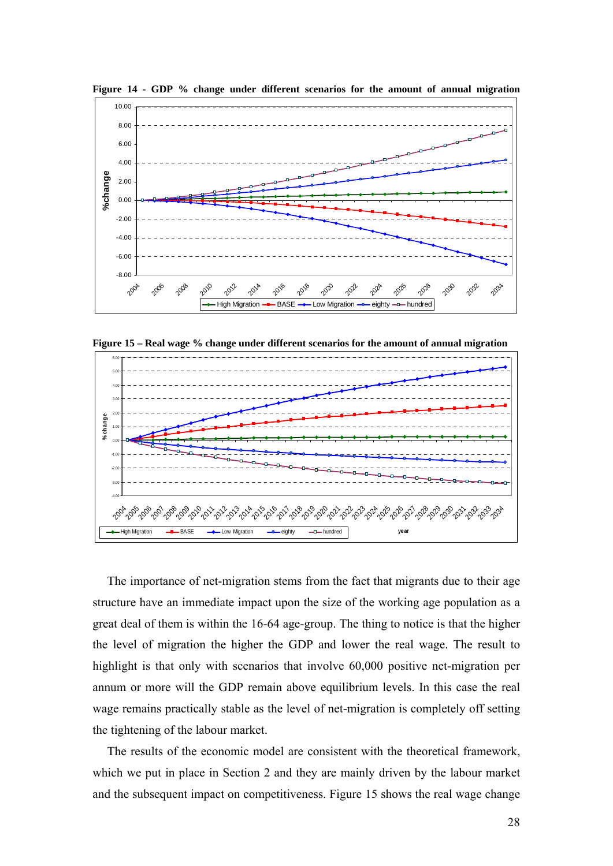

**Figure 14 - GDP % change under different scenarios for the amount of annual migration** 

**Figure 15 – Real wage % change under different scenarios for the amount of annual migration** 



The importance of net-migration stems from the fact that migrants due to their age structure have an immediate impact upon the size of the working age population as a great deal of them is within the 16-64 age-group. The thing to notice is that the higher the level of migration the higher the GDP and lower the real wage. The result to highlight is that only with scenarios that involve 60,000 positive net-migration per annum or more will the GDP remain above equilibrium levels. In this case the real wage remains practically stable as the level of net-migration is completely off setting the tightening of the labour market.

The results of the economic model are consistent with the theoretical framework, which we put in place in Section 2 and they are mainly driven by the labour market and the subsequent impact on competitiveness. Figure 15 shows the real wage change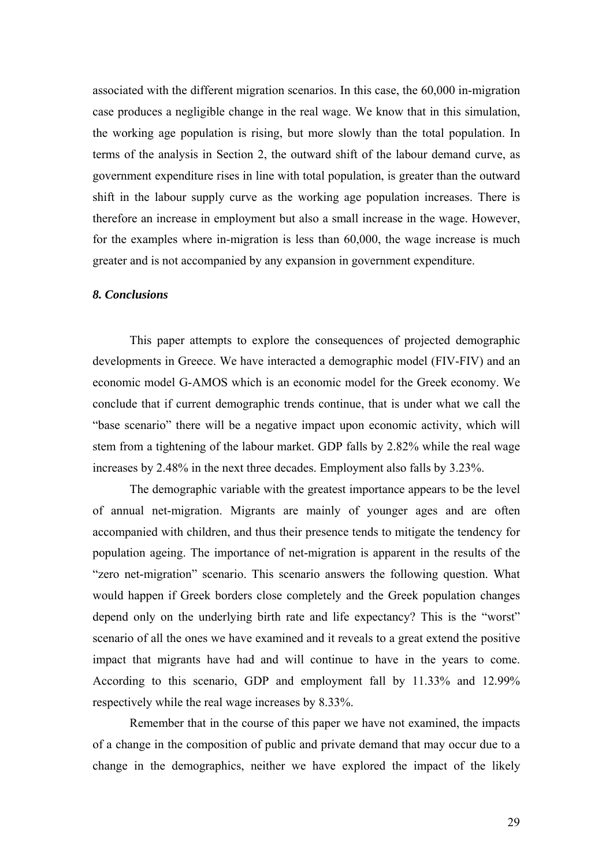associated with the different migration scenarios. In this case, the 60,000 in-migration case produces a negligible change in the real wage. We know that in this simulation, the working age population is rising, but more slowly than the total population. In terms of the analysis in Section 2, the outward shift of the labour demand curve, as government expenditure rises in line with total population, is greater than the outward shift in the labour supply curve as the working age population increases. There is therefore an increase in employment but also a small increase in the wage. However, for the examples where in-migration is less than 60,000, the wage increase is much greater and is not accompanied by any expansion in government expenditure.

#### *8. Conclusions*

This paper attempts to explore the consequences of projected demographic developments in Greece. We have interacted a demographic model (FIV-FIV) and an economic model G-AMOS which is an economic model for the Greek economy. We conclude that if current demographic trends continue, that is under what we call the "base scenario" there will be a negative impact upon economic activity, which will stem from a tightening of the labour market. GDP falls by 2.82% while the real wage increases by 2.48% in the next three decades. Employment also falls by 3.23%.

The demographic variable with the greatest importance appears to be the level of annual net-migration. Migrants are mainly of younger ages and are often accompanied with children, and thus their presence tends to mitigate the tendency for population ageing. The importance of net-migration is apparent in the results of the "zero net-migration" scenario. This scenario answers the following question. What would happen if Greek borders close completely and the Greek population changes depend only on the underlying birth rate and life expectancy? This is the "worst" scenario of all the ones we have examined and it reveals to a great extend the positive impact that migrants have had and will continue to have in the years to come. According to this scenario, GDP and employment fall by 11.33% and 12.99% respectively while the real wage increases by 8.33%.

Remember that in the course of this paper we have not examined, the impacts of a change in the composition of public and private demand that may occur due to a change in the demographics, neither we have explored the impact of the likely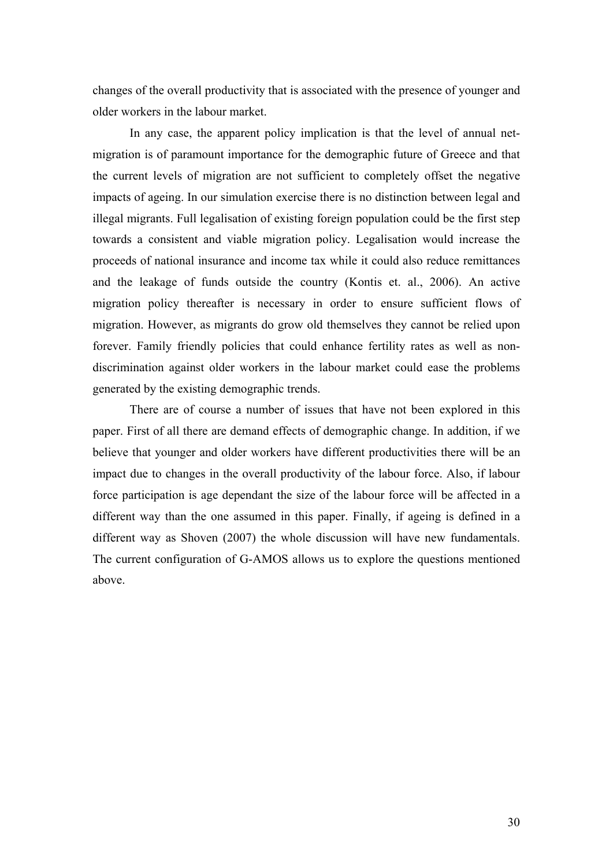changes of the overall productivity that is associated with the presence of younger and older workers in the labour market.

In any case, the apparent policy implication is that the level of annual netmigration is of paramount importance for the demographic future of Greece and that the current levels of migration are not sufficient to completely offset the negative impacts of ageing. In our simulation exercise there is no distinction between legal and illegal migrants. Full legalisation of existing foreign population could be the first step towards a consistent and viable migration policy. Legalisation would increase the proceeds of national insurance and income tax while it could also reduce remittances and the leakage of funds outside the country (Kontis et. al., 2006). An active migration policy thereafter is necessary in order to ensure sufficient flows of migration. However, as migrants do grow old themselves they cannot be relied upon forever. Family friendly policies that could enhance fertility rates as well as nondiscrimination against older workers in the labour market could ease the problems generated by the existing demographic trends.

There are of course a number of issues that have not been explored in this paper. First of all there are demand effects of demographic change. In addition, if we believe that younger and older workers have different productivities there will be an impact due to changes in the overall productivity of the labour force. Also, if labour force participation is age dependant the size of the labour force will be affected in a different way than the one assumed in this paper. Finally, if ageing is defined in a different way as Shoven (2007) the whole discussion will have new fundamentals. The current configuration of G-AMOS allows us to explore the questions mentioned above.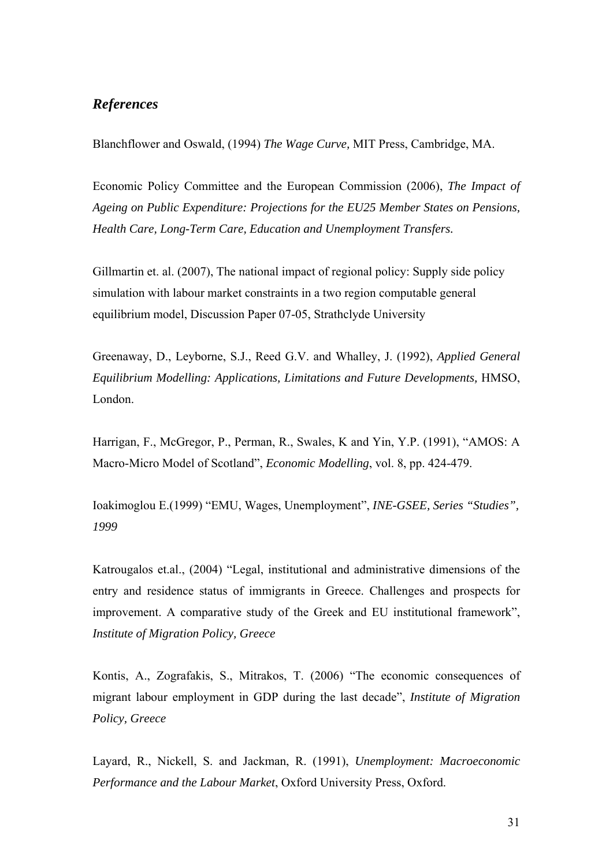## *References*

Blanchflower and Oswald, (1994) *The Wage Curve,* MIT Press, Cambridge, MA.

Economic Policy Committee and the European Commission (2006), *The Impact of Ageing on Public Expenditure: Projections for the EU25 Member States on Pensions, Health Care, Long-Term Care, Education and Unemployment Transfers.* 

Gillmartin et. al. (2007), The national impact of regional policy: Supply side policy simulation with labour market constraints in a two region computable general equilibrium model, Discussion Paper 07-05, Strathclyde University

Greenaway, D., Leyborne, S.J., Reed G.V. and Whalley, J. (1992), *Applied General Equilibrium Modelling: Applications, Limitations and Future Developments,* HMSO, London.

Harrigan, F., McGregor, P., Perman, R., Swales, K and Yin, Y.P. (1991), "AMOS: A Macro-Micro Model of Scotland", *Economic Modelling*, vol. 8, pp. 424-479.

Ioakimoglou E.(1999) "EMU, Wages, Unemployment", *INE-GSEE, Series "Studies", 1999* 

Katrougalos et.al., (2004) "Legal, institutional and administrative dimensions of the entry and residence status of immigrants in Greece. Challenges and prospects for improvement. A comparative study of the Greek and EU institutional framework", *Institute of Migration Policy, Greece*

Kontis, A., Zografakis, S., Mitrakos, T. (2006) "The economic consequences of migrant labour employment in GDP during the last decade", *Institute of Migration Policy, Greece* 

Layard, R., Nickell, S. and Jackman, R. (1991), *Unemployment: Macroeconomic Performance and the Labour Market*, Oxford University Press, Oxford.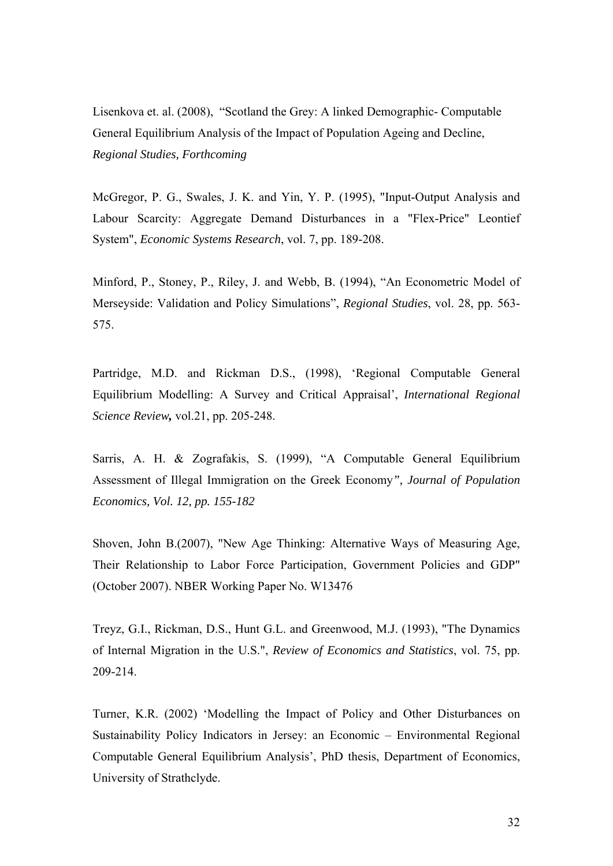Lisenkova et. al. (2008), "Scotland the Grey: A linked Demographic- Computable General Equilibrium Analysis of the Impact of Population Ageing and Decline, *Regional Studies, Forthcoming* 

McGregor, P. G., Swales, J. K. and Yin, Y. P. (1995), "Input-Output Analysis and Labour Scarcity: Aggregate Demand Disturbances in a "Flex-Price" Leontief System", *Economic Systems Research*, vol. 7, pp. 189-208.

Minford, P., Stoney, P., Riley, J. and Webb, B. (1994), "An Econometric Model of Merseyside: Validation and Policy Simulations", *Regional Studies*, vol. 28, pp. 563- 575.

Partridge, M.D. and Rickman D.S., (1998), 'Regional Computable General Equilibrium Modelling: A Survey and Critical Appraisal', *International Regional Science Review,* vol.21, pp. 205-248.

Sarris, A. H. & Zografakis, S. (1999), "A Computable General Equilibrium Assessment of Illegal Immigration on the Greek Economy*", Journal of Population Economics, Vol. 12, pp. 155-182* 

Shoven, John B.(2007), "New Age Thinking: Alternative Ways of Measuring Age, Their Relationship to Labor Force Participation, Government Policies and GDP" (October 2007). NBER Working Paper No. W13476

Treyz, G.I., Rickman, D.S., Hunt G.L. and Greenwood, M.J. (1993), "The Dynamics of Internal Migration in the U.S.", *Review of Economics and Statistics*, vol. 75, pp. 209-214.

Turner, K.R. (2002) 'Modelling the Impact of Policy and Other Disturbances on Sustainability Policy Indicators in Jersey: an Economic – Environmental Regional Computable General Equilibrium Analysis', PhD thesis, Department of Economics, University of Strathclyde.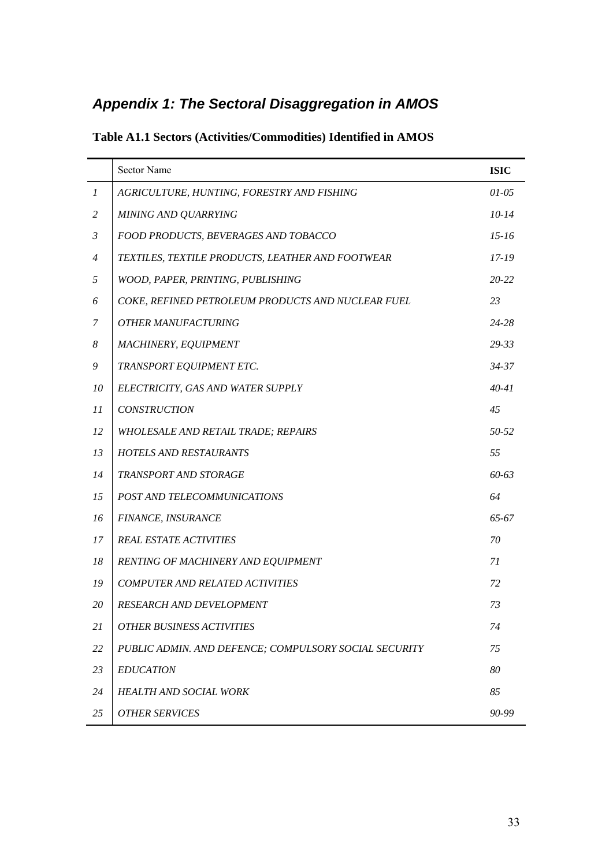# *Appendix 1: The Sectoral Disaggregation in AMOS*

|                  | Sector Name                                           | <b>ISIC</b> |
|------------------|-------------------------------------------------------|-------------|
| $\boldsymbol{l}$ | AGRICULTURE, HUNTING, FORESTRY AND FISHING            | $01 - 05$   |
| 2                | <b>MINING AND QUARRYING</b>                           | $10-14$     |
| $\mathfrak{Z}$   | FOOD PRODUCTS, BEVERAGES AND TOBACCO                  | $15 - 16$   |
| $\overline{4}$   | TEXTILES, TEXTILE PRODUCTS, LEATHER AND FOOTWEAR      | $17 - 19$   |
| 5                | WOOD, PAPER, PRINTING, PUBLISHING                     | $20 - 22$   |
| 6                | COKE, REFINED PETROLEUM PRODUCTS AND NUCLEAR FUEL     | 23          |
| 7                | <b>OTHER MANUFACTURING</b>                            | 24-28       |
| 8                | MACHINERY, EQUIPMENT                                  | $29 - 33$   |
| 9                | TRANSPORT EQUIPMENT ETC.                              | $34 - 37$   |
| 10               | ELECTRICITY, GAS AND WATER SUPPLY                     | $40 - 41$   |
| 11               | <b>CONSTRUCTION</b>                                   | 45          |
| 12               | <b>WHOLESALE AND RETAIL TRADE; REPAIRS</b>            | 50-52       |
| 13               | <b>HOTELS AND RESTAURANTS</b>                         | 55          |
| 14               | TRANSPORT AND STORAGE                                 | 60-63       |
| 15               | POST AND TELECOMMUNICATIONS                           | 64          |
| 16               | FINANCE, INSURANCE                                    | 65-67       |
| 17               | <b>REAL ESTATE ACTIVITIES</b>                         | 70          |
| 18               | RENTING OF MACHINERY AND EQUIPMENT                    | 71          |
| 19               | <b>COMPUTER AND RELATED ACTIVITIES</b>                | 72          |
| 20               | <b>RESEARCH AND DEVELOPMENT</b>                       | 73          |
| 21               | <b>OTHER BUSINESS ACTIVITIES</b>                      | 74          |
| 22               | PUBLIC ADMIN. AND DEFENCE; COMPULSORY SOCIAL SECURITY | 75          |
| 23               | <b>EDUCATION</b>                                      | 80          |
| 24               | <b>HEALTH AND SOCIAL WORK</b>                         | 85          |
| 25               | <b>OTHER SERVICES</b>                                 | 90-99       |

**Table A1.1 Sectors (Activities/Commodities) Identified in AMOS**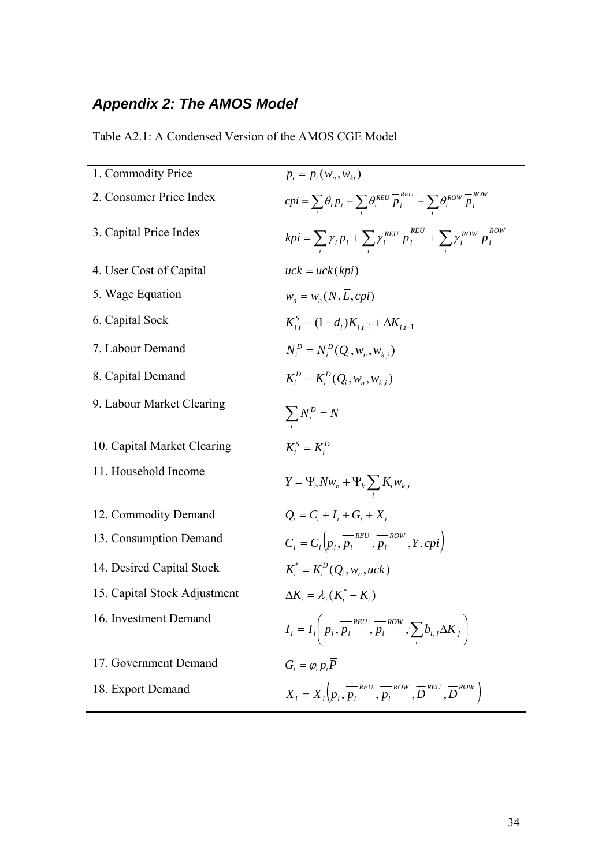# *Appendix 2: The AMOS Model*

| 1. Commodity Price           | $p_i = p_i(w_n, w_{1i})$                                                                                                                      |
|------------------------------|-----------------------------------------------------------------------------------------------------------------------------------------------|
| 2. Consumer Price Index      | $cpi = \sum_{i} \theta_{i} p_{i} + \sum_{i} \theta_{i}^{REV} \frac{-\text{REV}}{p_{i}} + \sum_{i} \theta_{i}^{Row} \frac{-\text{Row}}{p_{i}}$ |
| 3. Capital Price Index       | $kpi = \sum \gamma_i p_i + \sum \gamma_i^{REV} \overline{p}_i^{REV} + \sum \gamma_i^{Row} \overline{p}_i^{Row}$                               |
| 4. User Cost of Capital      | $uck = uck(kpi)$                                                                                                                              |
| 5. Wage Equation             | $W_n = W_n(N, \overline{L}, cpi)$                                                                                                             |
| 6. Capital Sock              | $K_{i,t}^{S} = (1-d_i)K_{i,t-1} + \Delta K_{i,t-1}$                                                                                           |
| 7. Labour Demand             | $N_i^D = N_i^D(Q_i, w_n, w_{k,i})$                                                                                                            |
| 8. Capital Demand            | $K_i^D = K_i^D(Q_i, w_n, w_{i,i})$                                                                                                            |
| 9. Labour Market Clearing    | $\sum_i N_i^D = N$                                                                                                                            |
| 10. Capital Market Clearing  | $K_i^S = K_i^D$                                                                                                                               |
| 11. Household Income         | $Y = \Psi_n N w_n + \Psi_k \sum K_i w_{k,i}$                                                                                                  |
| 12. Commodity Demand         | $Q_i = C_i + I_i + G_i + X_i$                                                                                                                 |
| 13. Consumption Demand       | $C_i = C_i \left( p_i, p_i \right)$ $\left( \overline{p_i}, \overline{p_i}, \overline{p_i}, \overline{p_i} \right)$                           |
| 14. Desired Capital Stock    | $K_i^* = K_i^D(Q_i, w_n, uck)$                                                                                                                |
| 15. Capital Stock Adjustment | $\Delta K_i = \lambda_i (K_i^* - K_i)$                                                                                                        |
| 16. Investment Demand        | $I_i = I_i\left(p_i, \overline{p_i}^{REV}, \overline{p_i}^{Row}, \sum_i b_{i,j} \Delta K_i\right)$                                            |
| 17. Government Demand        | $G_i = \varphi_i p_i \overline{P}$                                                                                                            |
| 18. Export Demand            | $X_i = X_i \left( p_i, \overline{p_i}^{REV}, \overline{p_i}^{Row}, \overline{D}^{REV}, \overline{D}^{Row} \right)$                            |

Table A2.1: A Condensed Version of the AMOS CGE Model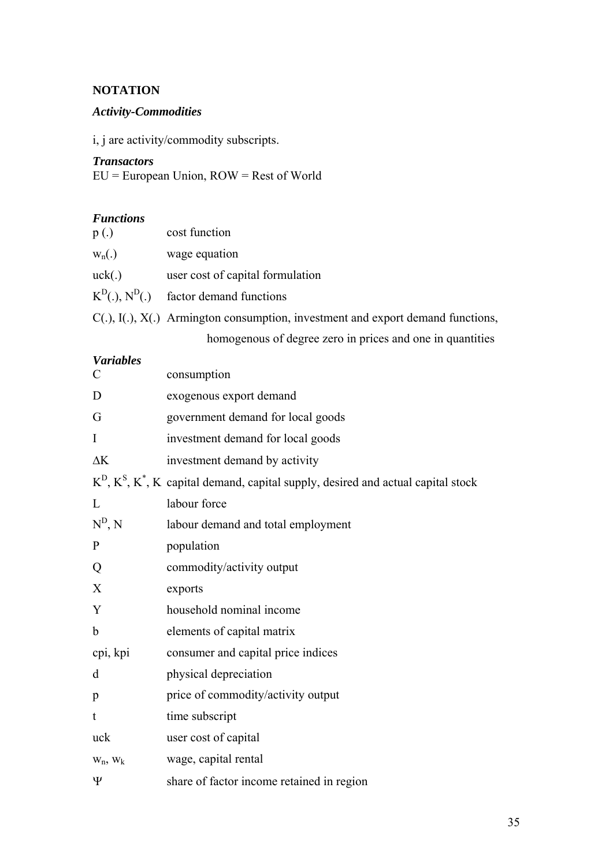## **NOTATION**

## *Activity-Commodities*

i, j are activity/commodity subscripts.

#### *Transactors*

EU = European Union, ROW = Rest of World

#### *Functions*

| p(.)                    | cost function                                                                           |
|-------------------------|-----------------------------------------------------------------------------------------|
| $W_n(.)$                | wage equation                                                                           |
| uck(.)                  | user cost of capital formulation                                                        |
| $K^{D}(.)$ , $N^{D}(.)$ | factor demand functions                                                                 |
|                         | $C(.)$ , $I(.)$ , $X(.)$ Armington consumption, investment and export demand functions, |

homogenous of degree zero in prices and one in quantities

#### *Variables*

| $\mathcal{C}$ | consumption                                                                               |
|---------------|-------------------------------------------------------------------------------------------|
| D             | exogenous export demand                                                                   |
| G             | government demand for local goods                                                         |
| $\mathbf I$   | investment demand for local goods                                                         |
| $\Delta K$    | investment demand by activity                                                             |
|               | $KD$ , $Ks$ , $K*$ , $K$ capital demand, capital supply, desired and actual capital stock |
| L             | labour force                                                                              |
| $N^D$ , $N$   | labour demand and total employment                                                        |
| $\mathbf{P}$  | population                                                                                |
| Q             | commodity/activity output                                                                 |
| X             | exports                                                                                   |
| Y             | household nominal income                                                                  |
| $\mathbf b$   | elements of capital matrix                                                                |
| cpi, kpi      | consumer and capital price indices                                                        |
| d             | physical depreciation                                                                     |
| p             | price of commodity/activity output                                                        |
| t             | time subscript                                                                            |
| uck           | user cost of capital                                                                      |
| $W_n$ , $W_k$ | wage, capital rental                                                                      |
| Ψ             | share of factor income retained in region                                                 |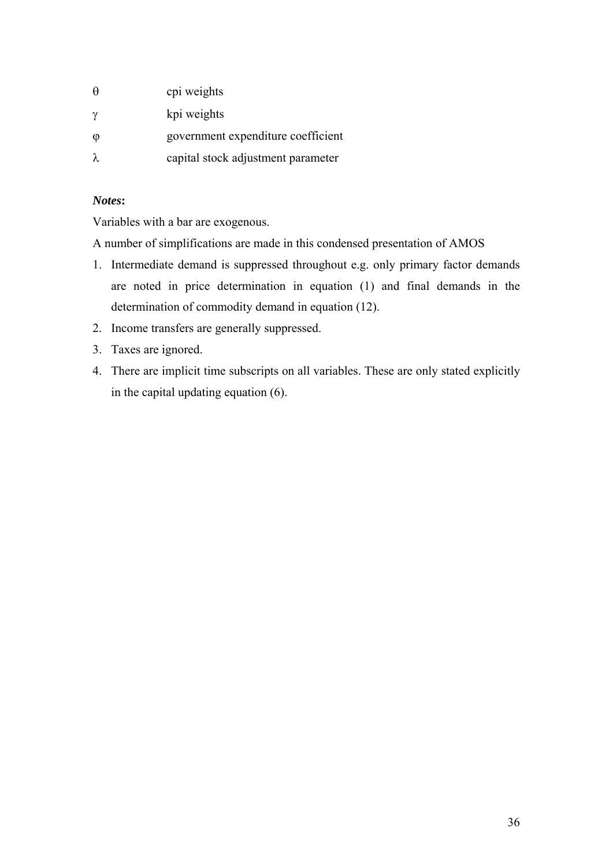| $\theta$               | cpi weights                        |
|------------------------|------------------------------------|
| $\gamma$               | kpi weights                        |
| $\boldsymbol{\varphi}$ | government expenditure coefficient |
| λ                      | capital stock adjustment parameter |

## *Notes***:**

Variables with a bar are exogenous.

A number of simplifications are made in this condensed presentation of AMOS

- 1. Intermediate demand is suppressed throughout e.g. only primary factor demands are noted in price determination in equation (1) and final demands in the determination of commodity demand in equation (12).
- 2. Income transfers are generally suppressed.
- 3. Taxes are ignored.
- 4. There are implicit time subscripts on all variables. These are only stated explicitly in the capital updating equation (6).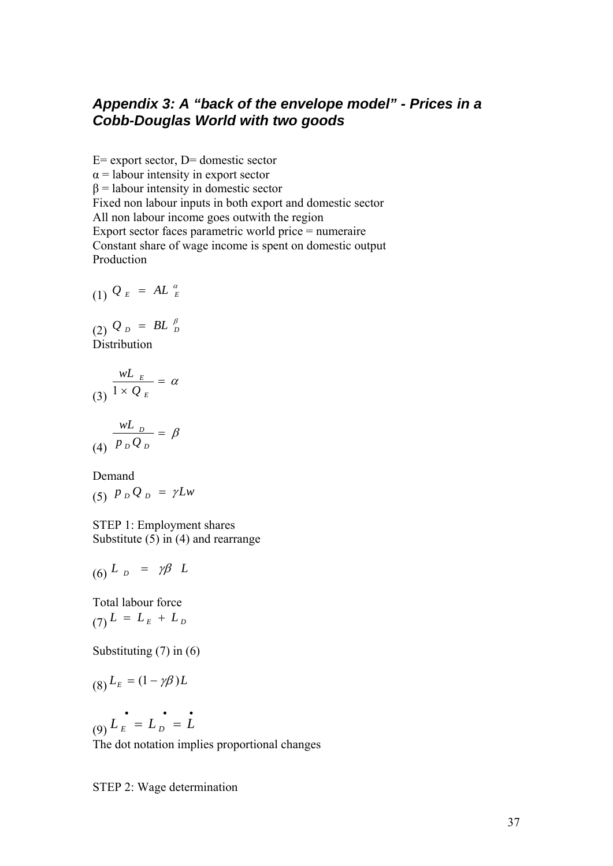# *Appendix 3: A "back of the envelope model" - Prices in a Cobb-Douglas World with two goods*

 $E=$  export sector,  $D=$  domestic sector  $\alpha$  = labour intensity in export sector  $β =$ labour intensity in domestic sector Fixed non labour inputs in both export and domestic sector All non labour income goes outwith the region Export sector faces parametric world price = numeraire Constant share of wage income is spent on domestic output Production

$$
(1) \mathcal{Q}_E = AL_{E}^{\alpha}
$$

 $(2)$   $Q_{D} = BL_{D}^{\beta}$ **Distribution** 

$$
\frac{wL_E}{1 \times Q_E} = \alpha
$$
\n
$$
\frac{wL_D}{P_D Q_D} = \beta
$$

$$
\begin{array}{ll}\text{Demand} \\ (5) \ \ P \ _D \ Q \ _D \ = \ \gamma L w \end{array}
$$

STEP 1: Employment shares Substitute (5) in (4) and rearrange

$$
(6) \quad L_{D} = \gamma \beta \quad L
$$

Total labour force  $(7)$   $L = L_E + L_D$ 

Substituting (7) in (6)

$$
(8) L_E = (1 - \gamma \beta) L
$$

(9)  $L_E$  =  $L_D$  =  $\dot{L}$ 

The dot notation implies proportional changes

STEP 2: Wage determination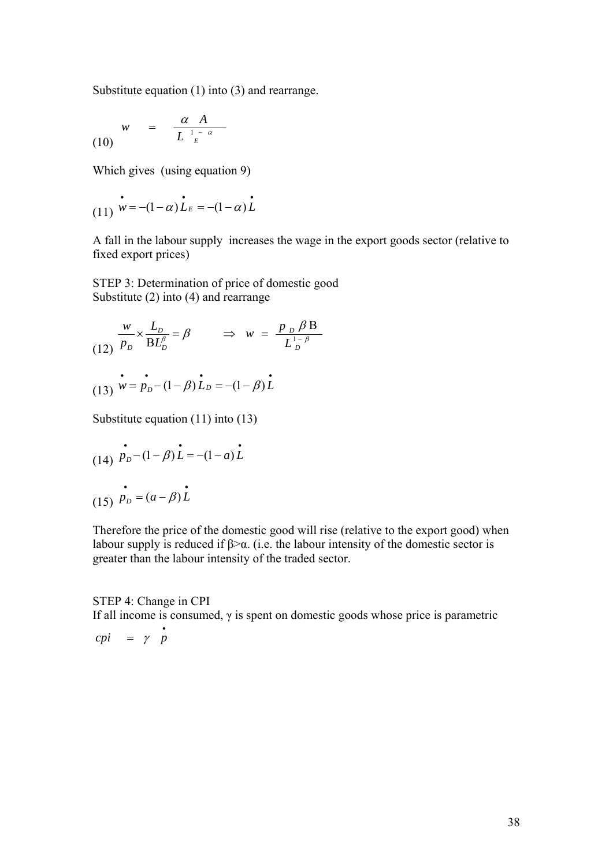Substitute equation (1) into (3) and rearrange.

$$
w = \frac{\alpha A}{L^{\frac{1-\alpha}{E}}}
$$

Which gives (using equation 9)

(11) 
$$
\mathbf{v} = -(1-\alpha)\mathbf{L}_E = -(1-\alpha)\mathbf{L}
$$

A fall in the labour supply increases the wage in the export goods sector (relative to fixed export prices)

STEP 3: Determination of price of domestic good Substitute (2) into (4) and rearrange

$$
\frac{w}{p_D} \times \frac{L_D}{BL_D^{\beta}} = \beta \qquad \Rightarrow \quad w = \frac{p_D \beta B}{L_D^{1-\beta}}
$$
  
(13) 
$$
w = p_D - (1 - \beta) L_D = -(1 - \beta) L
$$

Substitute equation (11) into (13)

(14) 
$$
\vec{P}_D - (1 - \beta)\vec{L} = -(1 - a)\vec{L}
$$
  
(15)  $\vec{P}_D = (a - \beta)\vec{L}$ 

Therefore the price of the domestic good will rise (relative to the export good) when labour supply is reduced if  $β > α$ . (i.e. the labour intensity of the domestic sector is greater than the labour intensity of the traded sector.

#### STEP 4: Change in CPI

If all income is consumed,  $\gamma$  is spent on domestic goods whose price is parametric

 $cpi = \gamma \dot{p}$